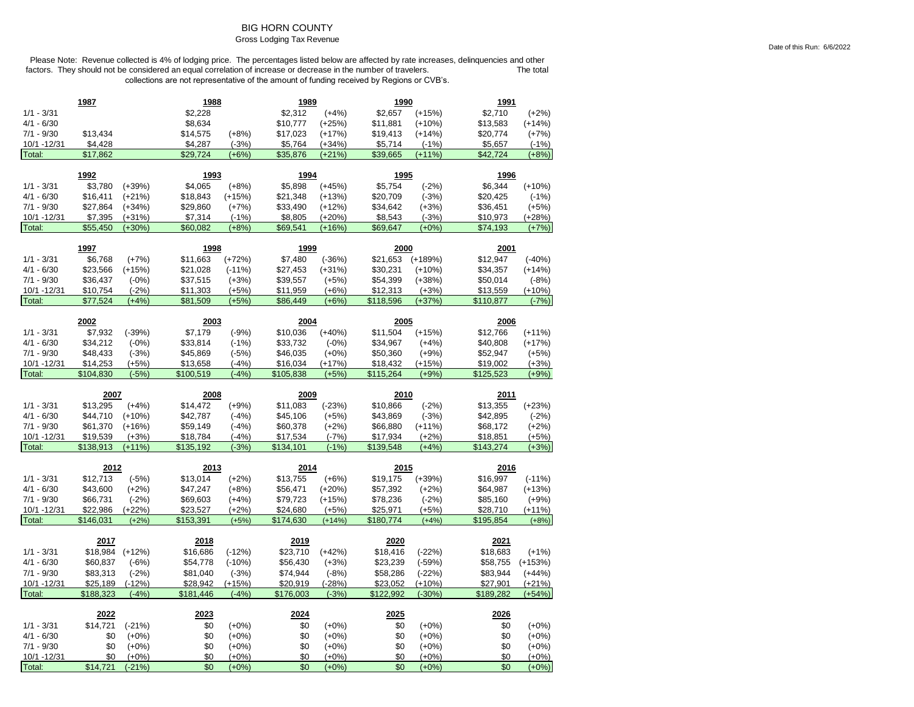## BIG HORN COUNTY

#### Gross Lodging Tax Revenue

|                        | 1987            |                     | 1988       |                    | 1989       |                    | 1990       |                    | 1991       |                    |
|------------------------|-----------------|---------------------|------------|--------------------|------------|--------------------|------------|--------------------|------------|--------------------|
| $1/1 - 3/31$           |                 |                     | \$2,228    |                    | \$2,312    | $(+4%)$            | \$2,657    | $(+15%)$           | \$2,710    | $(+2%)$            |
| $4/1 - 6/30$           |                 |                     | \$8,634    |                    | \$10,777   | $(+25%)$           | \$11,881   | $(+10%)$           | \$13,583   | $(+14%)$           |
| $7/1 - 9/30$           | \$13,434        |                     | \$14,575   | $(+8%)$            | \$17,023   | $(+17%)$           | \$19,413   | $(+14%)$           | \$20,774   | $(+7%)$            |
| 10/1 -12/31            | \$4,428         |                     | \$4,287    | $(-3%)$            | \$5,764    | (+34%)             | \$5,714    | $(-1%)$            | \$5,657    | $(-1%)$            |
| Total:                 | \$17,862        |                     | \$29.724   | $(+6%)$            | \$35,876   | $(+21%)$           | \$39,665   | $(+11%)$           | \$42,724   | $(+8%)$            |
|                        |                 |                     |            |                    |            |                    |            |                    |            |                    |
|                        | 1992            |                     | 1993       |                    | 1994       |                    | 1995       |                    | 1996       |                    |
| $1/1 - 3/31$           | \$3,780         | $(+39%)$            | \$4,065    | $(+8%)$            | \$5,898    | $(+45%)$           | \$5,754    | $(-2%)$            | \$6,344    | $(+10%)$           |
| $4/1 - 6/30$           | \$16,411        | $(+21%)$            | \$18,843   | $(+15%)$           | \$21,348   | $(+13%)$           | \$20,709   | $(-3%)$            | \$20,425   | $(-1%)$            |
| $7/1 - 9/30$           | \$27,864        | $(+34%)$            | \$29,860   | $(+7%)$            | \$33,490   | $(+12%)$           | \$34,642   | $(+3%)$            | \$36,451   | $(+5%)$            |
| 10/1 - 12/31           | \$7,395         | $(+31%)$            | \$7,314    | $(-1%)$            | \$8,805    | $(+20%)$           | \$8,543    | $(-3%)$            | \$10,973   | $(+28%)$           |
| Total:                 | \$55,450        | $(+30%)$            | \$60,082   | $(+8%)$            | \$69,541   | $(+16%)$           | \$69,647   | $(+0%)$            | \$74,193   | $(+7%)$            |
|                        | 1997            |                     | 1998       |                    | 1999       |                    | 2000       |                    | 2001       |                    |
| $1/1 - 3/31$           | \$6,768         | $(+7%)$             | \$11,663   | $(+72%)$           | \$7,480    | $(-36%)$           | \$21,653   | $(+189%)$          | \$12,947   | $(-40%)$           |
| $4/1 - 6/30$           | \$23,566        | $(+15%)$            | \$21,028   | $(-11%)$           | \$27,453   | $(+31%)$           | \$30,231   | $(+10%)$           | \$34,357   | $(+14%)$           |
| $7/1 - 9/30$           | \$36,437        | $(-0%)$             | \$37,515   | $(+3%)$            | \$39,557   | $(+5%)$            | \$54,399   | $(+38%)$           | \$50,014   | $(-8%)$            |
| 10/1 - 12/31           | \$10,754        | $(-2%)$             | \$11,303   | $(+5%)$            | \$11,959   | $(+6%)$            | \$12,313   | $(+3%)$            | \$13,559   | $(+10%)$           |
| Total:                 | \$77,524        | $(+4%)$             | \$81,509   | $(+5%)$            | \$86,449   | $(+6%)$            | \$118,596  | (+37%)             | \$110,877  | $(-7%)$            |
|                        |                 |                     |            |                    |            |                    |            |                    |            |                    |
|                        | 2002            |                     | 2003       |                    | 2004       |                    | 2005       |                    | 2006       |                    |
| $1/1 - 3/31$           | \$7,932         | $(-39%)$            | \$7,179    | $(-9%)$            | \$10,036   | $(+40%)$           | \$11,504   | $(+15%)$           | \$12,766   | $(+11%)$           |
| $4/1 - 6/30$           | \$34,212        | $(-0%)$             | \$33,814   | $(-1%)$            | \$33,732   | $(-0%)$            | \$34,967   | $(+4%)$            | \$40,808   | $(+17%)$           |
| $7/1 - 9/30$           | \$48,433        | $(-3%)$             | \$45,869   | $(-5%)$            | \$46,035   | $(+0\%)$           | \$50,360   | $(+9%)$            | \$52,947   | $(+5%)$            |
| 10/1 - 12/31           | \$14,253        | $(+5%)$             | \$13,658   | $(-4%)$            | \$16,034   | $(+17%)$           | \$18,432   | $(+15%)$           | \$19,002   | $(+3%)$            |
| Total:                 | \$104,830       | $(-5%)$             | \$100,519  | $(-4%)$            | \$105,838  | $(+5%)$            | \$115,264  | $(+9%)$            | \$125,523  | $(+9%)$            |
|                        |                 |                     |            |                    |            |                    |            |                    |            |                    |
|                        | 2007            |                     | 2008       |                    | 2009       |                    | 2010       |                    | 2011       |                    |
| $1/1 - 3/31$           | \$13,295        | $(+4%)$             | \$14,472   | $(+9%)$            | \$11,083   | $(-23%)$           | \$10,866   | $(-2%)$            | \$13,355   | $(+23%)$           |
| $4/1 - 6/30$           | \$44,710        | $(+10%)$            | \$42,787   | $(-4%)$            | \$45,106   | $(+5%)$            | \$43,869   | $(-3%)$            | \$42,895   | $(-2%)$            |
| $7/1 - 9/30$           | \$61,370        | $(+16%)$            | \$59,149   | $(-4%)$            | \$60,378   | $(+2%)$            | \$66,880   | $(+11%)$           | \$68,172   | $(+2%)$            |
| 10/1 - 12/31           | \$19,539        | $(+3%)$             | \$18,784   | $(-4%)$            | \$17,534   | $(-7%)$            | \$17,934   | $(+2%)$            | \$18,851   | $(+5%)$            |
| Total:                 | \$138,913       | $(+11%)$            | \$135,192  | $(-3%)$            | \$134,101  | $(-1%)$            | \$139,548  | $(+4%)$            | \$143,274  | $(+3%)$            |
|                        |                 |                     |            |                    |            |                    |            |                    |            |                    |
|                        | 2012            |                     | 2013       |                    | 2014       |                    | 2015       |                    | 2016       |                    |
| $1/1 - 3/31$           | \$12,713        | $(-5%)$             | \$13,014   | $(+2%)$            | \$13,755   | $(+6%)$            | \$19,175   | $(+39%)$           | \$16,997   | $(-11%)$           |
| $4/1 - 6/30$           | \$43,600        | $(+2%)$             | \$47,247   | $(+8%)$            | \$56,471   | $(+20%)$           | \$57,392   | $(+2%)$            | \$64,987   | $(+13%)$           |
| $7/1 - 9/30$           | \$66,731        | $(-2%)$             | \$69,603   | (+4%)              | \$79,723   | $(+15%)$           | \$78,236   | $(-2%)$            | \$85,160   | $(+9%)$            |
| 10/1 -12/31            | \$22,986        | $(+22%)$            | \$23,527   | $(+2%)$            | \$24,680   | $(+5%)$            | \$25,971   | $(+5%)$            | \$28,710   | $(+11%)$           |
| Total:                 | \$146,031       | $(+2%)$             | \$153,391  | $(+5%)$            | \$174,630  | $(+14%)$           | \$180.774  | $(+4%)$            | \$195,854  | $(+8%)$            |
|                        | 2017            |                     | 2018       |                    | 2019       |                    | 2020       |                    | 2021       |                    |
| $1/1 - 3/31$           | \$18,984        | $(+12%)$            | \$16,686   | $(-12%)$           | \$23,710   | $(+42%)$           | \$18,416   | $(-22%)$           | \$18,683   | $(+1%)$            |
| $4/1 - 6/30$           | \$60,837        | $(-6%)$             | \$54,778   | $(-10%)$           | \$56,430   | $(+3%)$            | \$23,239   | $(-59%)$           | \$58,755   | $(+153%)$          |
| $7/1 - 9/30$           | \$83,313        | $(-2%)$             | \$81,040   | $(-3%)$            | \$74,944   | $(-8%)$            | \$58,286   | $(-22%)$           | \$83,944   | $(+44%)$           |
| 10/1 -12/31            | \$25,189        | $(-12%)$            | \$28,942   | $(+15%)$           | \$20,919   | $(-28%)$           | \$23,052   | $(+10%)$           | \$27,901   | $(+21%)$           |
| Total:                 | \$188,323       | $(-4%)$             | \$181,446  | $(-4%)$            | \$176,003  | $(-3%)$            | \$122,992  | $(-30%)$           | \$189,282  | $(+54%)$           |
|                        |                 |                     |            |                    |            |                    |            |                    |            |                    |
|                        | 2022            |                     | 2023       |                    | 2024       |                    | 2025       |                    | 2026       |                    |
| $1/1 - 3/31$           | \$14,721        | $(-21%)$            | \$0        | $(+0%)$            | \$0        | $(+0\%)$           | \$0        | $(+0\%)$           | \$0        | $(+0\%)$           |
| $4/1 - 6/30$           | \$0             | $(+0\%)$            | \$0        | $(+0\%)$           | \$0        | $(+0\%)$           | \$0        | $(+0%)$            | \$0        | $(+0\%)$           |
| $7/1 - 9/30$           | \$0             | $(+0%)$             | \$0        | $(+0%)$            | \$0        | $(+0%)$            | \$0        | $(+0%)$            | \$0        | $(+0%)$            |
| 10/1 - 12/31<br>Total: | \$0<br>\$14,721 | $(+0%)$<br>$(-21%)$ | \$0<br>\$0 | $(+0%)$<br>$(+0%)$ | \$0<br>\$0 | $(+0%)$<br>$(+0%)$ | \$0<br>\$0 | $(+0%)$<br>$(+0%)$ | \$0<br>\$0 | $(+0%)$<br>$(+0%)$ |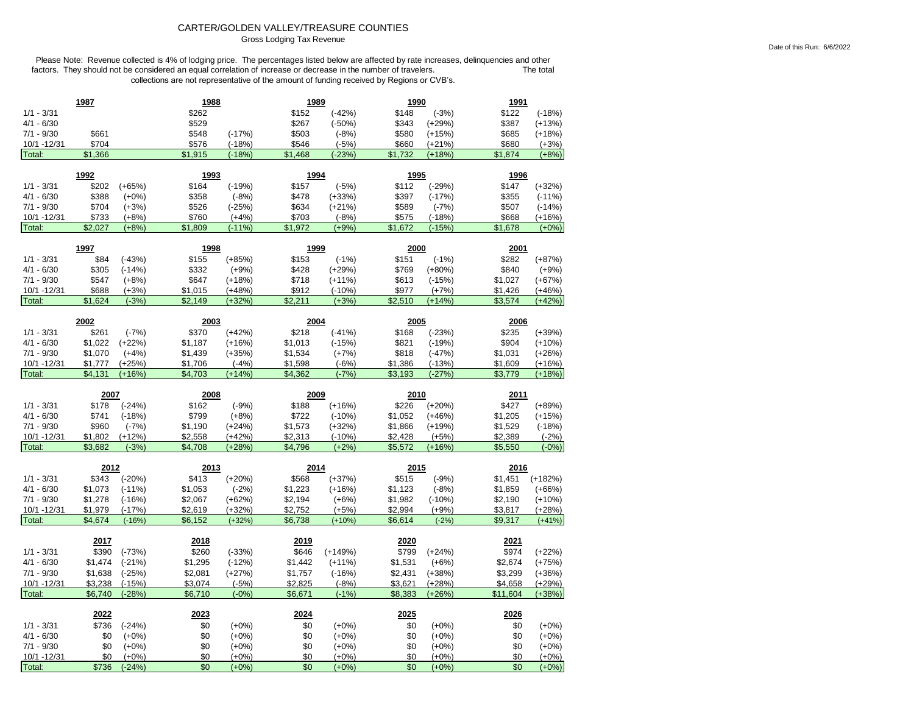# CARTER/GOLDEN VALLEY/TREASURE COUNTIES

Gross Lodging Tax Revenue

|                              | 1987               |                      | 1988               |                     | 1989               |                      | <b>1990</b>        |                      | 1991               |                      |
|------------------------------|--------------------|----------------------|--------------------|---------------------|--------------------|----------------------|--------------------|----------------------|--------------------|----------------------|
| $1/1 - 3/31$                 |                    |                      | \$262              |                     | \$152              | $(-42%)$             | \$148              | $(-3%)$              | \$122              | $(-18%)$             |
| $4/1 - 6/30$                 |                    |                      | \$529              |                     | \$267              | $(-50%)$             | \$343              | $(+29%)$             | \$387              | $(+13%)$             |
| $7/1 - 9/30$                 | \$661              |                      | \$548              | $(-17%)$            | \$503              | $(-8%)$              | \$580              | $(+15%)$             | \$685              | $(+18%)$             |
| 10/1 -12/31                  | \$704              |                      | \$576              | $(-18%)$            | \$546              | $(-5%)$              | \$660              | $(+21%)$             | \$680              | $(+3%)$              |
| Total:                       | \$1,366            |                      | \$1,915            | $(-18%)$            | \$1,468            | $(-23%)$             | \$1,732            | $(+18%)$             | \$1,874            | $(+8%)$              |
|                              | 1992               |                      | 1993               |                     | 1994               |                      | 1995               |                      | 1996               |                      |
| $1/1 - 3/31$                 | \$202              | $(+65%)$             | \$164              | $(-19%)$            | \$157              | $(-5%)$              | \$112              | $(-29%)$             | \$147              | $(+32%)$             |
| $4/1 - 6/30$                 | \$388              | $(+0%)$              | \$358              | $(-8%)$             | \$478              | $(+33%)$             | \$397              | $(-17%)$             | \$355              | $(-11%)$             |
| $7/1 - 9/30$                 | \$704              | $(+3%)$              | \$526              | $(-25%)$            | \$634              | $(+21%)$             | \$589              | $(-7%)$              | \$507              | $(-14%)$             |
| 10/1 -12/31                  | \$733              | $(+8%)$              | \$760              | $(+4%)$             | \$703              | $(-8%)$              | \$575              | $(-18%)$             | \$668              | $(+16%)$             |
| Total:                       | \$2,027            | $(+8%)$              | \$1,809            | $(-11%)$            | \$1,972            | $(+9%)$              | \$1,672            | $(-15%)$             | \$1,678            | $(+0%)$              |
|                              |                    |                      |                    |                     |                    |                      |                    |                      |                    |                      |
|                              | 1997               |                      | 1998               |                     | 1999               |                      | 2000               |                      | 2001               |                      |
| $1/1 - 3/31$                 | \$84               | $(-43%)$             | \$155              | $(+85%)$            | \$153              | $(-1%)$              | \$151              | $(-1%)$              | \$282              | $(+87%)$             |
| $4/1 - 6/30$                 | \$305              | $(-14%)$             | \$332              | $(+9%)$             | \$428              | $(+29%)$             | \$769              | $(+80%)$             | \$840              | $(+9%)$              |
| $7/1 - 9/30$                 | \$547              | $(+8%)$              | \$647              | $(+18%)$            | \$718              | $(+11%)$             | \$613              | $(-15%)$             | \$1,027            | $(+67%)$             |
| 10/1 -12/31                  | \$688              | $(+3%)$              | \$1,015            | $(+48%)$            | \$912              | $(-10%)$             | \$977              | $(+7%)$              | \$1,426            | $(+46%)$             |
| Total:                       | \$1,624            | $(-3%)$              | \$2,149            | $(+32%)$            | \$2,211            | $(+3%)$              | \$2,510            | $(+14%)$             | \$3,574            | $(+42%)$             |
|                              | 2002               |                      | 2003               |                     | 2004               |                      | 2005               |                      | 2006               |                      |
| $1/1 - 3/31$                 | \$261              | $(-7%)$              | \$370              | $(+42%)$            | \$218              | $(-41%)$             | \$168              | $(-23%)$             | \$235              | $(+39%)$             |
| $4/1 - 6/30$                 | \$1,022            | $(+22%)$             | \$1,187            | $(+16%)$            | \$1,013            | $(-15%)$             | \$821              | $(-19%)$             | \$904              | $(+10%)$             |
| $7/1 - 9/30$                 | \$1,070            | $(+4%)$              | \$1,439            | $(+35%)$            | \$1,534            | $(+7%)$              | \$818              | $(-47%)$             | \$1,031            | $(+26%)$             |
| 10/1 - 12/31                 | \$1,777            | $(+25%)$             | \$1,706            | $(-4%)$             | \$1,598            | $(-6%)$              | \$1,386            | $(-13%)$             | \$1,609            | $(+16%)$             |
| Total:                       | \$4,131            | $(+16%)$             | \$4,703            | $(+14%)$            | \$4,362            | $(-7%)$              | \$3,193            | $(-27%)$             | \$3,779            | $(+18%)$             |
|                              |                    |                      |                    |                     |                    |                      |                    |                      |                    |                      |
|                              |                    |                      |                    |                     |                    |                      |                    |                      |                    |                      |
|                              | 2007               |                      | 2008               |                     | 2009               |                      | 2010               |                      | 2011               |                      |
| $1/1 - 3/31$                 | \$178              | $(-24%)$             | \$162              | $(-9%)$             | \$188              | $(+16%)$             | \$226              | $(+20%)$             | \$427              | $(+89%)$             |
| $4/1 - 6/30$                 | \$741              | $(-18%)$             | \$799              | $(+8%)$             | \$722              | $(-10%)$             | \$1,052            | $(+46%)$             | \$1,205            | $(+15%)$             |
| $7/1 - 9/30$                 | \$960              | $(-7%)$              | \$1,190            | $(+24%)$            | \$1,573            | $(+32%)$             | \$1,866            | $(+19%)$             | \$1,529            | $(-18%)$             |
| 10/1 -12/31                  | \$1,802            | $(+12%)$             | \$2,558            | $(+42%)$            | \$2,313            | $(-10%)$             | \$2,428            | $(+5%)$              | \$2,389            | $(-2%)$              |
| Total:                       | \$3,682            | $(-3%)$              | \$4,708            | $(+28%)$            | \$4,796            | $(+2%)$              | \$5,572            | $(+16%)$             | \$5,550            | $(-0%)$              |
|                              | 2012               |                      | 2013               |                     | 2014               |                      | 2015               |                      | 2016               |                      |
| $1/1 - 3/31$                 | \$343              | $(-20%)$             | \$413              | $(+20%)$            | \$568              | $(+37%)$             | \$515              | $(-9%)$              | \$1,451            | $(+182%)$            |
| $4/1 - 6/30$                 | \$1,073            | $(-11%)$             | \$1,053            | $(-2%)$             | \$1,223            | $(+16%)$             | \$1,123            | $(-8%)$              | \$1,859            | $(+66%)$             |
| $7/1 - 9/30$                 | \$1,278            | $(-16%)$             | \$2,067            | $(+62%)$            | \$2,194            | $(+6%)$              | \$1,982            | $(-10%)$             | \$2,190            | $(+10%)$             |
| 10/1 -12/31                  | \$1,979            | $(-17%)$             | \$2,619            | $(+32%)$            | \$2,752            | $(+5%)$              | \$2,994            | $(+9%)$              | \$3,817            | $(+28%)$             |
| Total:                       | \$4,674            | $(-16%)$             | \$6,152            | $(+32%)$            | \$6,738            | $(+10%)$             | \$6,614            | $(-2%)$              | \$9,317            | $(+41%)$             |
|                              |                    |                      |                    |                     | 2019               |                      | 2020               |                      |                    |                      |
|                              | 2017               |                      | 2018               |                     |                    |                      |                    |                      | 2021               |                      |
| $1/1 - 3/31$<br>$4/1 - 6/30$ | \$390              | $(-73%)$             | \$260              | $(-33%)$            | \$646              | $(+149%)$            | \$799              | $(+24%)$             | \$974              | $(+22%)$             |
| $7/1 - 9/30$                 | \$1,474            | $(-21%)$             | \$1,295            | $(-12%)$            | \$1,442            | $(+11%)$<br>$(-16%)$ | \$1,531<br>\$2,431 | $(+6%)$              | \$2,674            | $(+75%)$             |
| 10/1 -12/31                  | \$1,638<br>\$3,238 | $(-25%)$<br>$(-15%)$ | \$2,081<br>\$3,074 | $(+27%)$<br>$(-5%)$ | \$1,757<br>\$2,825 | $(-8%)$              | \$3,621            | $(+38%)$<br>$(+28%)$ | \$3,299<br>\$4,658 | $(+36%)$<br>$(+29%)$ |
| Total:                       | \$6,740            | $(-28%)$             | \$6,710            | $(-0%)$             | \$6,671            | $(-1%)$              | \$8,383            | $(+26%)$             | \$11,604           | $(+38%)$             |
|                              |                    |                      |                    |                     |                    |                      |                    |                      |                    |                      |
|                              | 2022               |                      | 2023               |                     | 2024               |                      | 2025               |                      | 2026               |                      |
| $1/1 - 3/31$                 | \$736              | $(-24%)$             | \$0                | $(+0%)$             | \$0                | $(+0%)$              | \$0                | $(+0%)$              | \$0                | $(+0%)$              |
| $4/1 - 6/30$                 | \$0                | $(+0%)$              | \$0                | $(+0%)$             | \$0                | $(+0%)$              | \$0                | $(+0%)$              | \$0                | $(+0%)$              |
| $7/1 - 9/30$<br>10/1 -12/31  | \$0<br>\$0         | $(+0%)$<br>$(+0%)$   | \$0<br>\$0         | $(+0%)$<br>$(+0%)$  | \$0<br>\$0         | $(+0%)$<br>$(+0%)$   | \$0<br>\$0         | $(+0%)$<br>$(+0%)$   | \$0<br>\$0         | $(+0%)$<br>$(+0%)$   |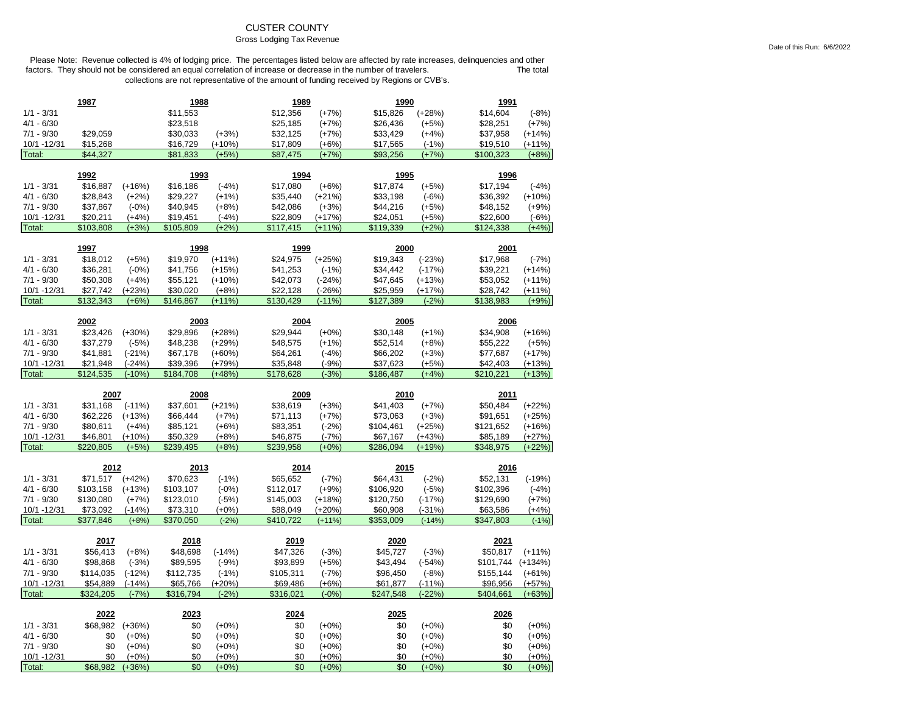# CUSTER COUNTY

#### Gross Lodging Tax Revenue

|                        | 1987            |                     | 1988       |                    | 1989       |                    | 1990       |                    | 1991       |                    |
|------------------------|-----------------|---------------------|------------|--------------------|------------|--------------------|------------|--------------------|------------|--------------------|
| $1/1 - 3/31$           |                 |                     | \$11,553   |                    | \$12,356   | $(+7%)$            | \$15,826   | $(+28%)$           | \$14,604   | $(-8%)$            |
| $4/1 - 6/30$           |                 |                     | \$23,518   |                    | \$25,185   | $(+7%)$            | \$26,436   | $(+5%)$            | \$28,251   | $(+7%)$            |
| $7/1 - 9/30$           | \$29,059        |                     | \$30,033   | $(+3%)$            | \$32,125   | $(+7%)$            | \$33,429   | $(+4%)$            | \$37,958   | $(+14%)$           |
| 10/1 - 12/31           | \$15,268        |                     | \$16,729   | $(+10%)$           | \$17,809   | $(+6%)$            | \$17,565   | $(-1%)$            | \$19,510   | $(+11%)$           |
| Total:                 | \$44,327        |                     | \$81,833   | $(+5%)$            | \$87,475   | $(+7%)$            | \$93,256   | $(+7%)$            | \$100,323  | $(+8%)$            |
|                        |                 |                     |            |                    |            |                    |            |                    |            |                    |
|                        | 1992            |                     | 1993       |                    | 1994       |                    | 1995       |                    | 1996       |                    |
| $1/1 - 3/31$           | \$16,887        | $(+16%)$            | \$16,186   | $(-4%)$            | \$17,080   | $(+6%)$            | \$17,874   | $(+5%)$            | \$17,194   | $(-4%)$            |
| $4/1 - 6/30$           | \$28,843        | $(+2%)$             | \$29,227   | $(+1%)$            | \$35,440   | $(+21%)$           | \$33,198   | $(-6%)$            | \$36,392   | $(+10%)$           |
| $7/1 - 9/30$           | \$37,867        | $(-0%)$             | \$40,945   | $(+8%)$            | \$42,086   | $(+3%)$            | \$44,216   | $(+5%)$            | \$48,152   | $(+9%)$            |
| 10/1 - 12/31           | \$20,211        | $(+4%)$             | \$19,451   | $(-4%)$            | \$22,809   | $(+17%)$           | \$24,051   | $(+5%)$            | \$22,600   | $(-6%)$            |
| Total:                 | \$103,808       | $(+3%)$             | \$105,809  | $(+2%)$            | \$117,415  | $(+11%)$           | \$119,339  | $(+2%)$            | \$124,338  | $(+4%)$            |
|                        | 1997            |                     | 1998       |                    | 1999       |                    | 2000       |                    | 2001       |                    |
| $1/1 - 3/31$           | \$18,012        | $(+5%)$             | \$19,970   | $(+11%)$           | \$24,975   | $(+25%)$           | \$19,343   | $(-23%)$           | \$17,968   | $(-7%)$            |
| $4/1 - 6/30$           | \$36,281        | $(-0%)$             | \$41,756   | $(+15%)$           | \$41,253   | $(-1%)$            | \$34,442   | $(-17%)$           | \$39,221   | $(+14%)$           |
| $7/1 - 9/30$           | \$50,308        | $(+4%)$             | \$55,121   | $(+10%)$           | \$42,073   | $(-24%)$           | \$47,645   | $(+13%)$           | \$53,052   | $(+11%)$           |
| 10/1 - 12/31           | \$27,742        | $(+23%)$            | \$30,020   | $(+8%)$            | \$22,128   | $(-26%)$           | \$25,959   | $(+17%)$           | \$28,742   | $(+11%)$           |
| Total:                 | \$132,343       | $(+6%)$             | \$146,867  | $(+11%)$           | \$130,429  | $(-11%)$           | \$127,389  | $(-2%)$            | \$138,983  | $(+9%)$            |
|                        |                 |                     |            |                    |            |                    |            |                    |            |                    |
|                        | 2002            |                     | 2003       |                    | 2004       |                    | 2005       |                    | 2006       |                    |
| $1/1 - 3/31$           | \$23,426        | $(+30%)$            | \$29,896   | $(+28%)$           | \$29,944   | $(+0%)$            | \$30,148   | $(+1%)$            | \$34,908   | $(+16%)$           |
| $4/1 - 6/30$           | \$37,279        | $(-5%)$             | \$48,238   | $(+29%)$           | \$48,575   | $(+1%)$            | \$52,514   | $(+8%)$            | \$55,222   | $(+5%)$            |
| $7/1 - 9/30$           | \$41,881        | $(-21%)$            | \$67,178   | $(+60%)$           | \$64,261   | $(-4%)$            | \$66,202   | $(+3%)$            | \$77,687   | $(+17%)$           |
| 10/1 - 12/31           | \$21,948        | $(-24%)$            | \$39,396   | $(+79%)$           | \$35,848   | $(-9%)$            | \$37,623   | $(+5%)$            | \$42,403   | $(+13%)$           |
| Total:                 | \$124,535       | $(-10%)$            | \$184,708  | $(+48%)$           | \$178,628  | $(-3%)$            | \$186,487  | $(+4%)$            | \$210,221  | $(+13%)$           |
|                        |                 |                     |            |                    |            |                    |            |                    |            |                    |
|                        |                 |                     |            |                    |            |                    |            |                    |            |                    |
|                        | 2007            |                     | 2008       |                    | 2009       |                    | 2010       |                    | 2011       |                    |
| $1/1 - 3/31$           | \$31,168        | $(-11%)$            | \$37,601   | $(+21%)$           | \$38,619   | $(+3%)$            | \$41,403   | $(+7%)$            | \$50,484   | $(+22%)$           |
| $4/1 - 6/30$           | \$62,226        | $(+13%)$            | \$66,444   | $(+7%)$            | \$71,113   | $(+7%)$            | \$73,063   | $(+3%)$            | \$91,651   | $(+25%)$           |
| $7/1 - 9/30$           | \$80,611        | $(+4%)$             | \$85,121   | $(+6%)$            | \$83,351   | $(-2%)$            | \$104,461  | $(+25%)$           | \$121,652  | $(+16%)$           |
| 10/1 - 12/31           | \$46,801        | $(+10%)$            | \$50,329   | $(+8%)$            | \$46,875   | $(-7%)$            | \$67,167   | $(+43%)$           | \$85,189   | $(+27%)$           |
| Total:                 | \$220.805       | $(+5%)$             | \$239.495  | $(+8%)$            | \$239.958  | $(+0%)$            | \$286.094  | $(+19%)$           | \$348,975  | $(+22%)$           |
|                        | 2012            |                     | 2013       |                    | 2014       |                    | 2015       |                    | 2016       |                    |
| $1/1 - 3/31$           | \$71,517        | $(+42%)$            | \$70,623   | $(-1%)$            | \$65,652   | $(-7%)$            | \$64,431   | $(-2%)$            | \$52,131   | $(-19%)$           |
| $4/1 - 6/30$           | \$103,158       | $(+13%)$            | \$103,107  | $(-0%)$            | \$112,017  | $(+9%)$            | \$106,920  | $(-5%)$            | \$102,396  | $(-4%)$            |
| $7/1 - 9/30$           | \$130,080       | $(+7%)$             | \$123,010  | $(-5%)$            | \$145,003  | $(+18%)$           | \$120,750  | $(-17%)$           | \$129,690  | $(+7%)$            |
| 10/1 - 12/31           | \$73,092        | $(-14%)$            | \$73,310   | $(+0%)$            | \$88.049   | $(+20%)$           | \$60,908   | $(-31%)$           | \$63,586   | $(+4%)$            |
| Total:                 | \$377,846       | $(+8%)$             | \$370,050  | $(-2%)$            | \$410,722  | $(+11%)$           | \$353,009  | $(-14%)$           | \$347,803  | $(-1%)$            |
|                        |                 |                     |            |                    |            |                    |            |                    |            |                    |
|                        | 2017            |                     | 2018       |                    | 2019       |                    | 2020       |                    | 2021       |                    |
| $1/1 - 3/31$           | \$56,413        | $(+8%)$             | \$48,698   | $(-14%)$           | \$47,326   | $(-3%)$            | \$45,727   | $(-3%)$            | \$50,817   | $(+11%)$           |
| $4/1 - 6/30$           | \$98,868        | $(-3%)$             | \$89,595   | $(-9%)$            | \$93,899   | $(+5%)$            | \$43,494   | $(-54%)$           | \$101,744  | $(+134%)$          |
| $7/1 - 9/30$           | \$114,035       | $(-12%)$            | \$112,735  | $(-1%)$            | \$105,311  | $(-7%)$            | \$96,450   | $(-8%)$            | \$155,144  | $(+61%)$           |
| 10/1 -12/31            | \$54,889        | $(-14%)$            | \$65,766   | $(+20%)$           | \$69,486   | $(+6%)$            | \$61,877   | $(-11%)$           | \$96,956   | $(+57%)$           |
| Total:                 | \$324,205       | $(-7%)$             | \$316,794  | $(-2%)$            | \$316,021  | $(-0%)$            | \$247,548  | $(-22%)$           | \$404,661  | $(+63%)$           |
|                        | 2022            |                     | 2023       |                    | 2024       |                    | 2025       |                    | 2026       |                    |
| $1/1 - 3/31$           | \$68,982        | $(+36%)$            | \$0        | $(+0%)$            | \$0        | $(+0%)$            | \$0        | $(+0%)$            | \$0        | $(+0%)$            |
| $4/1 - 6/30$           | \$0             | $(+0%)$             | \$0        | $(+0%)$            | \$0        | $(+0%)$            | \$0        | $(+0\%)$           | \$0        | $(+0%)$            |
| $7/1 - 9/30$           | \$0             | $(+0%)$             | \$0        | $(+0%)$            | \$0        | $(+0%)$            | \$0        | $(+0%)$            | \$0        | $(+0%)$            |
| 10/1 - 12/31<br>Total: | \$0<br>\$68,982 | $(+0%)$<br>$(+36%)$ | \$0<br>\$0 | $(+0%)$<br>$(+0%)$ | \$0<br>\$0 | $(+0%)$<br>$(+0%)$ | \$0<br>\$0 | $(+0%)$<br>$(+0%)$ | \$0<br>\$0 | $(+0%)$<br>$(+0%)$ |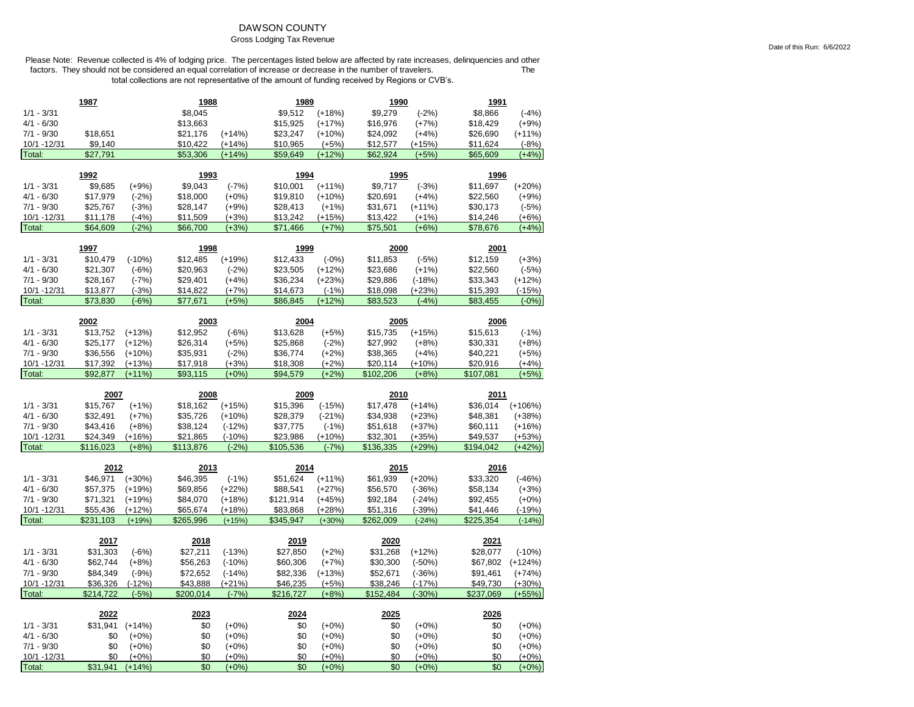# DAWSON COUNTY

#### Gross Lodging Tax Revenue

|                              | 1987                  |                     | 1988                  |                     | 1989                  |                    | 1990                  |                     | <u>1991</u>           |                      |
|------------------------------|-----------------------|---------------------|-----------------------|---------------------|-----------------------|--------------------|-----------------------|---------------------|-----------------------|----------------------|
| $1/1 - 3/31$                 |                       |                     | \$8,045               |                     | \$9,512               | $(+18%)$           | \$9,279               | $(-2%)$             | \$8,866               | $(-4%)$              |
| $4/1 - 6/30$                 |                       |                     | \$13,663              |                     | \$15,925              | $(+17%)$           | \$16,976              | $(+7%)$             | \$18,429              | $(+9%)$              |
| $7/1 - 9/30$                 | \$18,651              |                     | \$21,176              | $(+14%)$            | \$23,247              | $(+10%)$           | \$24,092              | $(+4%)$             | \$26,690              | $(+11%)$             |
| 10/1 -12/31                  | \$9,140               |                     | \$10,422              | (+14%)              | \$10,965              | $(+5%)$            | \$12,577              | $(+15%)$            | \$11,624              | $(-8%)$              |
| Total:                       | \$27,791              |                     | \$53,306              | $(+14%)$            | \$59,649              | $(+12%)$           | \$62,924              | $(+5%)$             | \$65,609              | $(+4%)$              |
|                              | 1992                  |                     | 1993                  |                     | 1994                  |                    | 1995                  |                     | 1996                  |                      |
| $1/1 - 3/31$                 | \$9,685               | $(+9%)$             | \$9,043               | $(-7%)$             | \$10,001              | $(+11%)$           | \$9,717               | $(-3%)$             | \$11,697              | $(+20%)$             |
| $4/1 - 6/30$                 | \$17,979              | $(-2%)$             | \$18,000              | $(+0%)$             | \$19,810              | $(+10%)$           | \$20,691              | $(+4%)$             | \$22,560              | $(+9%)$              |
| $7/1 - 9/30$                 | \$25,767              | $(-3%)$             | \$28,147              | $(+9%)$             | \$28,413              | $(+1%)$            | \$31,671              | $(+11%)$            | \$30,173              | $(-5%)$              |
| 10/1 - 12/31                 | \$11,178              | $(-4%)$             | \$11,509              | $(+3%)$             | \$13,242              | $(+15%)$           | \$13,422              | $(+1%)$             | \$14,246              | $(+6%)$              |
| Total:                       | \$64,609              | $(-2%)$             | \$66,700              | $(+3%)$             | \$71,466              | $(+7%)$            | \$75,501              | $(+6%)$             | \$78,676              | $(+4%)$              |
|                              |                       |                     |                       |                     |                       |                    |                       |                     |                       |                      |
|                              | 1997                  |                     | 1998                  |                     | <u>1999</u>           |                    | 2000                  |                     | 2001                  |                      |
| $1/1 - 3/31$                 | \$10,479              | $(-10%)$            | \$12,485              | $(+19%)$            | \$12,433              | $(-0%)$            | \$11,853              | $(-5%)$             | \$12,159              | $(+3%)$              |
| $4/1 - 6/30$                 | \$21,307              | $(-6%)$             | \$20,963              | $(-2%)$             | \$23,505              | $(+12%)$           | \$23,686              | $(+1%)$             | \$22,560              | $(-5%)$              |
| $7/1 - 9/30$                 | \$28,167              | $(-7%)$             | \$29,401              | $(+4%)$             | \$36,234              | $(+23%)$           | \$29,886              | $(-18%)$            | \$33,343              | $(+12%)$             |
| 10/1 - 12/31                 | \$13,877              | $(-3%)$             | \$14,822              | $(+7%)$             | \$14,673              | $(-1%)$            | \$18,098              | $(+23%)$            | \$15,393              | $(-15%)$             |
| Total:                       | \$73,830              | $(-6%)$             | \$77,671              | $(+5%)$             | \$86,845              | $(+12%)$           | \$83,523              | $(-4%)$             | \$83,455              | $(-0%)$              |
|                              | 2002                  |                     | 2003                  |                     | 2004                  |                    | 2005                  |                     | 2006                  |                      |
| $1/1 - 3/31$                 | \$13,752              | $(+13%)$            | \$12,952              | $(-6%)$             | \$13,628              | $(+5%)$            | \$15,735              | $(+15%)$            | \$15,613              | $(-1%)$              |
| $4/1 - 6/30$                 | \$25,177              | $(+12%)$            | \$26,314              | $(+5%)$             | \$25,868              | $(-2%)$            | \$27,992              | $(+8%)$             | \$30,331              | $(+8%)$              |
| $7/1 - 9/30$                 | \$36,556              | $(+10%)$            | \$35,931              | $(-2%)$             | \$36,774              | $(+2%)$            | \$38,365              | $(+4%)$             | \$40,221              | $(+5%)$              |
| 10/1 - 12/31                 | \$17,392              | $(+13%)$            | \$17,918              | $(+3%)$             | \$18,308              | $(+2%)$            | \$20,114              | $(+10%)$            | \$20,916              | $(+4%)$              |
| Total:                       | \$92,877              | $(+11%)$            | \$93,115              | $(+0%)$             | \$94,579              | $(+2%)$            | \$102,206             | $(+8%)$             | \$107,081             | $(+5%)$              |
|                              |                       |                     |                       |                     |                       |                    |                       |                     |                       |                      |
|                              |                       |                     |                       |                     |                       |                    |                       |                     |                       |                      |
|                              | 2007                  |                     | 2008                  |                     | 2009                  |                    | 2010                  |                     | 2011                  |                      |
| $1/1 - 3/31$                 | \$15,767              | $(+1%)$             | \$18,162              | $(+15%)$            | \$15,396              | $(-15%)$           | \$17,478              | $(+14%)$            | \$36,014              | $(+106%)$            |
| 4/1 - 6/30                   | \$32,491              | $(+7%)$             | \$35,726              | $(+10%)$            | \$28,379              | $(-21%)$           | \$34,938              | $(+23%)$            | \$48,381              | $(+38%)$             |
| $7/1 - 9/30$                 | \$43,416              | $(+8%)$             | \$38,124              | $(-12%)$            | \$37,775              | $(-1%)$            | \$51,618              | $(+37%)$            | \$60,111              | $(+16%)$             |
| 10/1 - 12/31                 | \$24,349              | $(+16%)$            | \$21,865              | $(-10%)$            | \$23,986              | $(+10%)$           | \$32,301              | $(+35%)$            | \$49,537              | $(+53%)$             |
| Total:                       | \$116,023             | $(+8%)$             | \$113,876             | $(-2%)$             | \$105,536             | $(-7%)$            | \$136,335             | $(+29%)$            | \$194,042             | $(+42%)$             |
|                              | 2012                  |                     | 2013                  |                     | 2014                  |                    | 2015                  |                     | 2016                  |                      |
| $1/1 - 3/31$                 | \$46,971              | $(+30%)$            | \$46,395              | $(-1%)$             | \$51,624              | $(+11%)$           | \$61,939              | $(+20%)$            | \$33,320              | $(-46%)$             |
| $4/1 - 6/30$                 | \$57,375              | $(+19%)$            | \$69,856              | $(+22%)$            | \$88,541              | $(+27%)$           | \$56,570              | $(-36%)$            | \$58,134              | $(+3%)$              |
| $7/1 - 9/30$                 | \$71,321              | $(+19%)$            | \$84,070              | $(+18%)$            | \$121,914             | $(+45%)$           | \$92,184              | $(-24%)$            | \$92,455              | $(+0%)$              |
| 10/1 - 12/31                 | \$55,436              | $(+12%)$            | \$65,674              | (+18%)              | \$83,868              | $(+28%)$           | \$51,316              | $(-39%)$            | \$41,446              | $(-19%)$             |
| Total:                       | \$231,103             | $(+19%)$            | \$265,996             | $(+15%)$            | \$345,947             | $(+30%)$           | \$262,009             | $(-24%)$            | \$225,354             | $(-14%)$             |
|                              |                       |                     |                       |                     |                       |                    |                       |                     |                       |                      |
|                              | 2017                  |                     | 2018                  |                     | 2019                  |                    | 2020                  |                     | 2021                  |                      |
| $1/1 - 3/31$                 | \$31,303              | $(-6%)$             | \$27,211              | $(-13%)$            | \$27,850              | $(+2%)$            | \$31,268              | $(+12%)$            | \$28,077              | $(-10%)$             |
| $4/1 - 6/30$                 | \$62,744              | $(+8%)$             | \$56,263              | $(-10%)$            | \$60,306              | $(+7%)$            | \$30,300              | $(-50%)$            | \$67,802              | $(+124%)$            |
| $7/1 - 9/30$                 | \$84,349              | $(-9%)$             | \$72,652              | $(-14%)$            | \$82,336              | $(+13%)$           | \$52,671              | $(-36%)$            | \$91,461              | $(+74%)$             |
| 10/1 - 12/31<br>Total:       | \$36,326<br>\$214,722 | $(-12%)$<br>$(-5%)$ | \$43,888<br>\$200,014 | $(+21%)$<br>$(-7%)$ | \$46,235<br>\$216,727 | $(+5%)$<br>$(+8%)$ | \$38,246<br>\$152,484 | $(-17%)$<br>$(-30%$ | \$49,730<br>\$237,069 | $(+30%)$<br>$(+55%)$ |
|                              |                       |                     |                       |                     |                       |                    |                       |                     |                       |                      |
|                              | 2022                  |                     | 2023                  |                     | 2024                  |                    | 2025                  |                     | 2026                  |                      |
| $1/1 - 3/31$                 | \$31,941              | $(+14%)$            | \$0                   | $(+0\%)$            | \$0                   | $(+0\%)$           | \$0                   | $(+0\%)$            | \$0                   | $(+0\%)$             |
| $4/1 - 6/30$                 | \$0                   | $(+0%)$             | \$0                   | $(+0%)$             | \$0                   | $(+0%)$            | \$0                   | $(+0%)$             | \$0                   | $(+0%)$              |
| $7/1 - 9/30$<br>10/1 - 12/31 | \$0<br>\$0            | $(+0\%)$<br>$(+0%)$ | \$0<br>\$0            | $(+0%)$<br>$(+0%)$  | \$0<br>\$0            | $(+0%)$<br>$(+0%)$ | \$0<br>\$0            | $(+0%)$<br>$(+0%)$  | \$0<br>\$0            | $(+0%)$<br>$(+0\%)$  |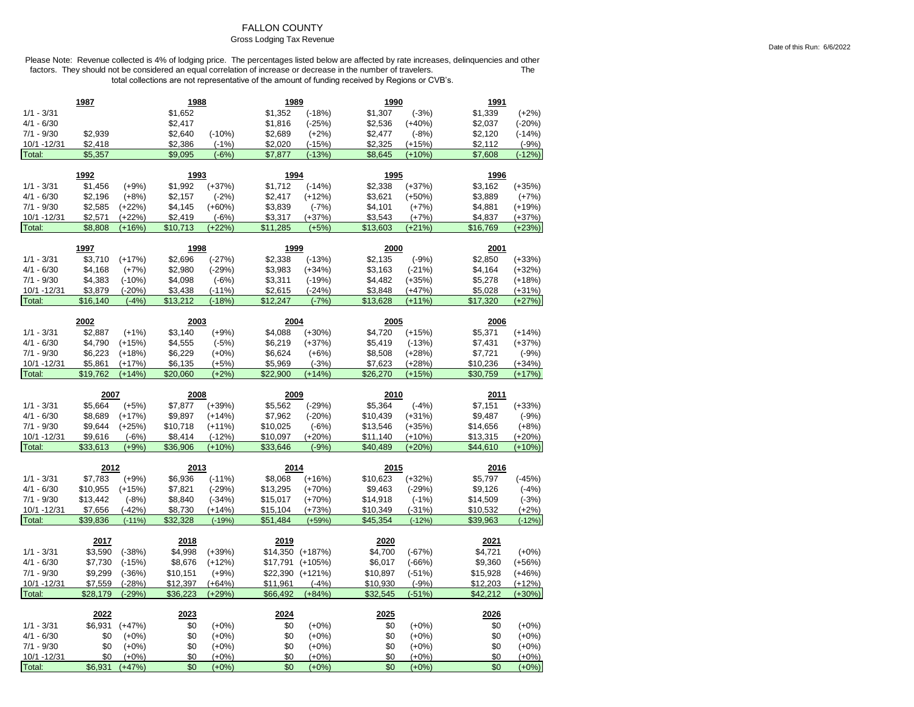# FALLON COUNTY

#### Gross Lodging Tax Revenue

|                             | 1987                |                      | 1988                |                      | 1989                 |                     | 1990                 |                      | 1991                 |                     |
|-----------------------------|---------------------|----------------------|---------------------|----------------------|----------------------|---------------------|----------------------|----------------------|----------------------|---------------------|
| $1/1 - 3/31$                |                     |                      | \$1,652             |                      | \$1,352              | $(-18%)$            | \$1,307              | $(-3%)$              | \$1,339              | $(+2%)$             |
| $4/1 - 6/30$                |                     |                      | \$2,417             |                      | \$1,816              | $(-25%)$            | \$2,536              | (+40%)               | \$2,037              | $(-20%)$            |
| $7/1 - 9/30$                | \$2,939             |                      | \$2,640             | $(-10%)$             | \$2,689              | $(+2%)$             | \$2,477              | $(-8%)$              | \$2,120              | $(-14%)$            |
| 10/1 - 12/31                | \$2,418             |                      | \$2,386             | $(-1%)$              | \$2,020              | $(-15%)$            | \$2,325              | $(+15%)$             | \$2,112              | $(-9%)$             |
| Total:                      | \$5,357             |                      | \$9,095             | $(-6%)$              | \$7,877              | $(-13%)$            | \$8,645              | $(+10%)$             | \$7,608              | $(-12%)$            |
|                             |                     |                      |                     |                      |                      |                     |                      |                      |                      |                     |
|                             | 1992                |                      | 1993                |                      | 1994                 |                     | 1995                 |                      | 1996                 |                     |
| $1/1 - 3/31$                | \$1,456             | $(+9%)$              | \$1,992             | $(+37%)$             | \$1,712              | $(-14%)$            | \$2,338              | $(+37%)$             | \$3,162              | $(+35%)$            |
| $4/1 - 6/30$                | \$2,196             | $(+8%)$              | \$2,157             | $(-2%)$              | \$2,417              | $(+12%)$            | \$3,621              | $(+50%)$             | \$3,889              | $(+7%)$             |
| $7/1 - 9/30$                | \$2,585             | $(+22%)$             | \$4,145             | $(+60%)$             | \$3,839              | $(-7%)$             | \$4,101              | $(+7%)$              | \$4,881              | $(+19%)$            |
| 10/1 -12/31                 | \$2,571             | $(+22%)$             | \$2,419             | $(-6%)$              | \$3,317              | $(+37%)$            | \$3,543              | $(+7%)$              | \$4,837              | $(+37%)$            |
| Total:                      | \$8,808             | $(+16%)$             | \$10,713            | $(+22%)$             | \$11,285             | $(+5%)$             | \$13,603             | $(+21%)$             | \$16,769             | $(+23%)$            |
|                             | 1997                |                      | 1998                |                      | 1999                 |                     | 2000                 |                      | 2001                 |                     |
| $1/1 - 3/31$                | \$3,710             | $(+17%)$             | \$2,696             | $(-27%)$             | \$2,338              | $(-13%)$            | \$2,135              | $(-9%)$              | \$2,850              | $(+33%)$            |
| $4/1 - 6/30$                | \$4,168             | $(+7%)$              | \$2,980             | $(-29%)$             | \$3,983              | $(+34%)$            | \$3,163              | $(-21%)$             | \$4,164              | $(+32%)$            |
| $7/1 - 9/30$                | \$4,383             | $(-10%)$             | \$4,098             | $(-6%)$              | \$3,311              | $(-19%)$            | \$4,482              | $(+35%)$             | \$5,278              | $(+18%)$            |
| 10/1 -12/31                 | \$3,879             | $(-20%)$             | \$3,438             | $(-11%)$             | \$2,615              | $(-24%)$            | \$3,848              | (+47%)               | \$5,028              | $(+31%)$            |
| Total:                      | \$16,140            | $(-4%)$              | \$13,212            | $(-18%)$             | \$12,247             | $(-7%)$             | \$13,628             | $(+11%)$             | \$17,320             | $(+27%)$            |
|                             |                     |                      |                     |                      |                      |                     |                      |                      |                      |                     |
|                             | 2002                |                      | 2003                |                      | 2004                 |                     | 2005                 |                      | 2006                 |                     |
| $1/1 - 3/31$                | \$2,887             | $(+1%)$              | \$3,140             | $(+9%)$              | \$4,088              | $(+30%)$            | \$4,720              | $(+15%)$             | \$5,371              | $(+14%)$            |
| $4/1 - 6/30$                | \$4,790             | $(+15%)$             | \$4,555             | $(-5%)$              | \$6,219              | $(+37%)$            | \$5,419              | $(-13%)$             | \$7,431              | $(+37%)$            |
| $7/1 - 9/30$                | \$6,223             | $(+18%)$             | \$6,229             | $(+0%)$              | \$6,624              | $(+6%)$             | \$8,508              | (+28%)               | \$7,721              | $(-9%)$             |
| 10/1 - 12/31                | \$5,861             | $(+17%)$             | \$6,135             | $(+5%)$              | \$5,969              | $(-3%)$             | \$7,623              | $(+28%)$             | \$10,236             | $(+34%)$            |
|                             |                     |                      |                     |                      |                      |                     |                      |                      |                      |                     |
| Total:                      | \$19,762            | $(+14%)$             | \$20,060            | $(+2%)$              | \$22,900             | $(+14%)$            | \$26,270             | $(+15%)$             | \$30,759             | $(+17%)$            |
|                             |                     |                      |                     |                      |                      |                     |                      |                      |                      |                     |
|                             | 2007                |                      | 2008                |                      | 2009                 |                     | 2010                 |                      | 2011                 |                     |
| $1/1 - 3/31$                | \$5,664             | $(+5%)$              | \$7,877             | $(+39%)$             | \$5,562              | $(-29%)$            | \$5,364              | $(-4%)$              | \$7,151              | $(+33%)$            |
| $4/1 - 6/30$                | \$8,689             | $(+17%)$             | \$9,897             | $(+14%)$             | \$7,962              | $(-20%)$            | \$10,439             | $(+31%)$             | \$9,487              | $(-9%)$             |
| $7/1 - 9/30$                | \$9,644             | $(+25%)$             | \$10,718            | $(+11%)$             | \$10,025             | $(-6%)$             | \$13,546             | $(+35%)$             | \$14,656             | $(+8%)$             |
| 10/1 - 12/31                | \$9,616             | $(-6%)$              | \$8,414             | $(-12%)$             | \$10,097             | $(+20%)$            | \$11,140             | $(+10%)$             | \$13,315             | $(+20%)$            |
| Total:                      | \$33,613            | $(+9%)$              | \$36,906            | $(+10%)$             | \$33,646             | $(-9%)$             | \$40,489             | $(+20%)$             | \$44,610             | $(+10%)$            |
|                             |                     |                      |                     |                      |                      |                     |                      |                      |                      |                     |
| $1/1 - 3/31$                | 2012                |                      | 2013<br>\$6,936     | $(-11%)$             | 2014<br>\$8,068      |                     | 2015                 |                      | 2016<br>\$5,797      | $(-45%)$            |
|                             | \$7,783             | $(+9%)$              |                     |                      |                      | $(+16%)$            | \$10,623             | $(+32%)$             |                      |                     |
| $4/1 - 6/30$                | \$10,955            | $(+15%)$             | \$7,821             | $(-29%)$             | \$13,295             | $(+70%)$            | \$9,463              | $(-29%)$             | \$9,126              | $(-4%)$             |
| $7/1 - 9/30$                | \$13,442            | $(-8%)$              | \$8,840             | $(-34%)$             | \$15,017             | $(+70%)$            | \$14,918             | $(-1%)$              | \$14,509             | $(-3%)$             |
| 10/1 - 12/31<br>Total:      | \$7,656<br>\$39,836 | $(-42%)$<br>$(-11%)$ | \$8,730<br>\$32,328 | $(+14%)$<br>$(-19%)$ | \$15,104<br>\$51,484 | $(+73%)$<br>$(+59%$ | \$10,349<br>\$45,354 | $(-31%)$<br>$(-12%)$ | \$10,532<br>\$39,963 | $(+2%)$<br>$(-12%)$ |
|                             |                     |                      |                     |                      |                      |                     |                      |                      |                      |                     |
|                             | 2017                |                      | 2018                |                      | 2019                 |                     | 2020                 |                      | 2021                 |                     |
| $1/1 - 3/31$                | \$3,590             | $(-38%)$             | \$4,998             | $(+39%)$             |                      | \$14,350 (+187%)    | \$4,700              | $(-67%)$             | \$4,721              | $(+0%)$             |
| 4/1 - 6/30                  | \$7,730             | $(-15%)$             | \$8,676             | $(+12%)$             | \$17,791             | $(+105%)$           | \$6,017              | $(-66%)$             | \$9,360              | $(+56%)$            |
| $7/1 - 9/30$                | \$9,299             | $(-36%)$             | \$10,151            | $(+9%)$              | \$22,390             | $(+121%)$           | \$10,897             | $(-51%)$             | \$15,928             | $(+46%)$            |
| 10/1 - 12/31                | \$7,559             | $(-28%)$             | \$12,397            | $(+64%)$             | \$11,961             | $(-4%)$             | \$10,930             | $(-9%)$              | \$12,203             | $(+12%)$            |
| Total:                      | \$28,179            | $(-29%)$             | \$36,223            | $(+29%)$             | \$66,492             | $(+84%)$            | \$32,545             | $(-51%)$             | \$42,212             | $(+30%)$            |
|                             |                     |                      |                     |                      |                      |                     |                      |                      |                      |                     |
|                             | 2022                |                      | 2023                |                      | 2024                 |                     | 2025                 |                      | 2026                 |                     |
| $1/1 - 3/31$                | \$6,931             | $(+47%)$             | \$0                 | $(+0%)$              | \$0                  | $(+0%)$             | \$0                  | $(+0\%)$             | \$0                  | $(+0\%)$            |
| $4/1 - 6/30$                | \$0                 | $(+0\%)$             | \$0                 | $(+0%)$              | \$0                  | $(+0%)$             | \$0                  | $(+0\%)$             | \$0                  | $(+0\%)$            |
| $7/1 - 9/30$<br>10/1 -12/31 | \$0<br>\$0          | $(+0%)$<br>$(+0%)$   | \$0<br>\$0          | $(+0%)$<br>$(+0%)$   | \$0<br>\$0           | $(+0%)$<br>$(+0%)$  | \$0<br>\$0           | $(+0\%)$<br>$(+0%)$  | \$0<br>\$0           | $(+0%)$<br>$(+0%)$  |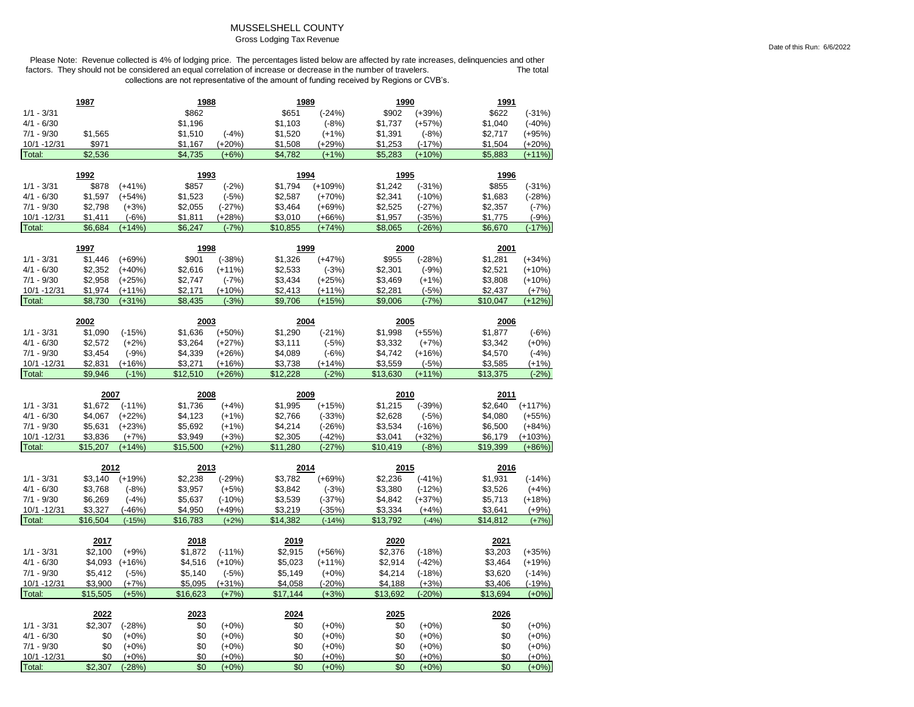### MUSSELSHELL COUNTY Gross Lodging Tax Revenue

Please Note: Revenue collected is 4% of lodging price. The percentages listed below are affected by rate increases, delinquencies and other<br>factors. They should not be considered an equal correlation of increase or decreas factors. They should not be considered an equal correlation of increase or decrease in the number of travelers. collections are not representative of the amount of funding received by Regions or CVB's.

|                        | 1987           |                     | 1988       |                    | 1989       |                     | 1990       |                    | 1991       |                    |
|------------------------|----------------|---------------------|------------|--------------------|------------|---------------------|------------|--------------------|------------|--------------------|
| $1/1 - 3/31$           |                |                     | \$862      |                    | \$651      | $(-24%)$            | \$902      | $(+39%)$           | \$622      | $(-31%)$           |
| $4/1 - 6/30$           |                |                     | \$1,196    |                    | \$1,103    | $(-8%)$             | \$1,737    | $(+57%)$           | \$1,040    | $(-40%)$           |
| $7/1 - 9/30$           | \$1,565        |                     | \$1,510    | $(-4%)$            | \$1,520    | $(+1%)$             | \$1,391    | $(-8%)$            | \$2,717    | $(+95%)$           |
| 10/1 -12/31            | \$971          |                     | \$1,167    | (+20%)             | \$1,508    | $(+29%)$            | \$1,253    | $(-17%)$           | \$1,504    | (+20%)             |
| Total:                 | \$2,536        |                     | \$4,735    | $(+6%)$            | \$4,782    | $(+1%)$             | \$5,283    | $(+10%)$           | \$5,883    | $(+11%)$           |
|                        |                |                     |            |                    |            |                     |            |                    |            |                    |
|                        | 1992           |                     | 1993       |                    | 1994       |                     | 1995       |                    | 1996       |                    |
| $1/1 - 3/31$           | \$878          | $(+41%)$            | \$857      | $(-2%)$            | \$1,794    | $(+109%)$           | \$1,242    | $(-31%)$           | \$855      | $(-31%)$           |
| $4/1 - 6/30$           | \$1,597        | $(+54%)$            | \$1,523    | $(-5%)$            | \$2,587    | $(+70%)$            | \$2,341    | $(-10%)$           | \$1,683    | $(-28%)$           |
| $7/1 - 9/30$           | \$2,798        | $(+3%)$             | \$2,055    | $(-27%)$           | \$3,464    | $(+69%)$            | \$2,525    | $(-27%)$           | \$2,357    | $(-7%)$            |
| 10/1 - 12/31           | \$1,411        | $(-6%)$             | \$1,811    | $(+28%)$           | \$3,010    | $(+66%)$            | \$1,957    | $(-35%)$           | \$1,775    | $(-9%)$            |
| Total:                 | \$6,684        | $(+14%)$            | \$6,247    | $(-7%)$            | \$10,855   | $(+74%)$            | \$8,065    | $(-26%)$           | \$6,670    | $(-17%)$           |
|                        | 1997           |                     | 1998       |                    | 1999       |                     | 2000       |                    | 2001       |                    |
| $1/1 - 3/31$           | \$1,446        | $(+69%)$            | \$901      | $(-38%)$           | \$1,326    | $(+47%)$            | \$955      | $(-28%)$           | \$1,281    | $(+34%)$           |
| $4/1 - 6/30$           | \$2,352        | $(+40%)$            | \$2,616    | $(+11%)$           | \$2,533    | $(-3%)$             | \$2,301    | $(-9%)$            | \$2,521    | $(+10%)$           |
| $7/1 - 9/30$           | \$2,958        | $(+25%)$            | \$2,747    | $(-7%)$            | \$3,434    | $(+25%)$            | \$3,469    | $(+1%)$            | \$3,808    | $(+10%)$           |
| 10/1 -12/31            | \$1,974        | $(+11%)$            | \$2,171    | $(+10%)$           | \$2,413    | $(+11%)$            | \$2,281    | $(-5%)$            | \$2,437    | $(+7%)$            |
| Total:                 | \$8,730        | $(+31%)$            | \$8,435    | $(-3%)$            | \$9,706    | $(+15%)$            | \$9,006    | $(-7%)$            | \$10,047   | $(+12%)$           |
|                        |                |                     |            |                    |            |                     |            |                    |            |                    |
|                        | 2002           |                     | 2003       |                    | 2004       |                     | 2005       |                    | 2006       |                    |
| $1/1 - 3/31$           | \$1,090        | $(-15%)$            | \$1,636    | $(+50%)$           | \$1,290    | $(-21%)$            | \$1,998    | $(+55%)$           | \$1,877    | $(-6%)$            |
| $4/1 - 6/30$           | \$2,572        | $(+2%)$             | \$3,264    | $(+27%)$           | \$3,111    | $(-5%)$             | \$3,332    | $(+7%)$            | \$3,342    | $(+0%)$            |
| $7/1 - 9/30$           | \$3,454        | $(-9%)$             | \$4,339    | $(+26%)$           | \$4,089    | $(-6%)$             | \$4,742    | $(+16%)$           | \$4,570    | $(-4%)$            |
| 10/1 - 12/31           | \$2,831        | $(+16%)$            | \$3,271    | $(+16%)$           | \$3,738    | $(+14%)$            | \$3,559    | $(-5%)$            | \$3,585    | $(+1%)$            |
| Total:                 | \$9,946        | $(-1%)$             | \$12,510   | $(+26%)$           | \$12,228   | $(-2%)$             | \$13,630   | $(+11%)$           | \$13,375   | $(-2%)$            |
|                        |                |                     |            |                    |            |                     |            |                    |            |                    |
|                        |                |                     |            |                    |            |                     |            |                    |            |                    |
|                        | 2007           |                     | 2008       |                    | 2009       |                     | 2010       |                    | 2011       |                    |
| $1/1 - 3/31$           | \$1,672        | $(-11%)$            | \$1,736    | $(+4%)$            | \$1,995    | $(+15%)$            | \$1,215    | $(-39%)$           | \$2,640    | $(+117%)$          |
| $4/1 - 6/30$           | \$4,067        | $(+22%)$            | \$4,123    | $(+1%)$            | \$2,766    | $(-33%)$            | \$2,628    | $(-5%)$            | \$4,080    | $(+55%)$           |
| $7/1 - 9/30$           | \$5,631        | $(+23%)$            | \$5,692    | $(+1%)$            | \$4,214    | $(-26%)$            | \$3,534    | $(-16%)$           | \$6,500    | $(+84%)$           |
| 10/1 - 12/31           | \$3,836        | $(+7%)$             | \$3,949    | $(+3%)$            | \$2,305    | $(-42%)$            | \$3,041    | $(+32%)$           | \$6,179    | $(+103%)$          |
| Total:                 | \$15,207       | $(+14%)$            | \$15,500   | $(+2%)$            | \$11,280   | $(-27%)$            | \$10,419   | $(-8%)$            | \$19,399   | $(+86%)$           |
|                        |                |                     |            |                    |            |                     |            |                    |            |                    |
|                        | 2012           |                     | 2013       |                    | 2014       |                     | 2015       |                    | 2016       |                    |
| $1/1 - 3/31$           | \$3,140        | $(+19%)$            | \$2,238    | $(-29%)$           | \$3,782    | $(+69%)$            | \$2,236    | $(-41%)$           | \$1,931    | $(-14%)$           |
| $4/1 - 6/30$           | \$3,768        | $(-8%)$             | \$3,957    | $(+5%)$            | \$3,842    | $(-3%)$             | \$3,380    | $(-12%)$           | \$3,526    | $(+4%)$            |
| $7/1 - 9/30$           | \$6,269        | $(-4%)$             | \$5,637    | $(-10%)$           | \$3,539    | $(-37%)$            | \$4,842    | $(+37%)$           | \$5,713    | $(+18%)$           |
| 10/1 - 12/31           | \$3,327        | $(-46%)$            | \$4,950    | $(+49%)$           | \$3,219    | $(-35%)$            | \$3,334    | $(+4%)$            | \$3,641    | $(+9%)$            |
| Total:                 | \$16,504       | $(-15%)$            | \$16,783   | $(+2%)$            | \$14,382   | $(-14%)$            | \$13,792   | $(-4%)$            | \$14,812   | $(+7%)$            |
|                        | 2017           |                     | 2018       |                    | 2019       |                     | 2020       |                    | 2021       |                    |
| $1/1 - 3/31$           | \$2,100        | $(+9%)$             | \$1,872    | $(-11%)$           | \$2,915    | $(+56%)$            | \$2,376    | $(-18%)$           | \$3,203    | $(+35%)$           |
| $4/1 - 6/30$           | \$4,093        | $(+16%)$            | \$4,516    | $(+10%)$           | \$5,023    |                     | \$2,914    | $(-42%)$           | \$3,464    | $(+19%)$           |
| $7/1 - 9/30$           | \$5,412        | $(-5%)$             | \$5,140    | $(-5%)$            | \$5,149    | $(+11%)$<br>$(+0%)$ | \$4,214    | $(-18%)$           | \$3,620    | $(-14%)$           |
| 10/1 - 12/31           | \$3,900        | $(+7%)$             | \$5,095    | $(+31%)$           | \$4,058    | $(-20%)$            | \$4,188    | $(+3%)$            | \$3,406    | $(-19%)$           |
| Total:                 | \$15,505       | $(+5%)$             | \$16,623   | $(+7%)$            | \$17.144   | $(+3%)$             | \$13.692   | $(-20%)$           | \$13.694   | $(+0%)$            |
|                        |                |                     |            |                    |            |                     |            |                    |            |                    |
|                        | 2022           |                     | 2023       |                    | 2024       |                     | 2025       |                    | 2026       |                    |
| $1/1 - 3/31$           | \$2,307        | $(-28%)$            | \$0        | $(+0%)$            | \$0        | $(+0%)$             | \$0        | $(+0%)$            | \$0        | $(+0%)$            |
| $4/1 - 6/30$           | \$0            | $(+0%)$             | \$0        | $(+0%)$            | \$0        | $(+0%)$             | \$0        | $(+0%)$            | \$0        | $(+0%)$            |
| $7/1 - 9/30$           | \$0            | $(+0%)$             | \$0        | $(+0%)$            | \$0        | $(+0%)$             | \$0        | $(+0%)$            | \$0        | $(+0%)$            |
| 10/1 - 12/31<br>Total: | \$0<br>\$2,307 | $(+0%)$<br>$(-28%)$ | \$0<br>\$0 | $(+0%)$<br>$(+0%)$ | \$0<br>\$0 | $(+0%)$<br>$(+0%)$  | \$0<br>\$0 | $(+0%)$<br>$(+0%)$ | \$0<br>\$0 | $(+0%)$<br>$(+0%)$ |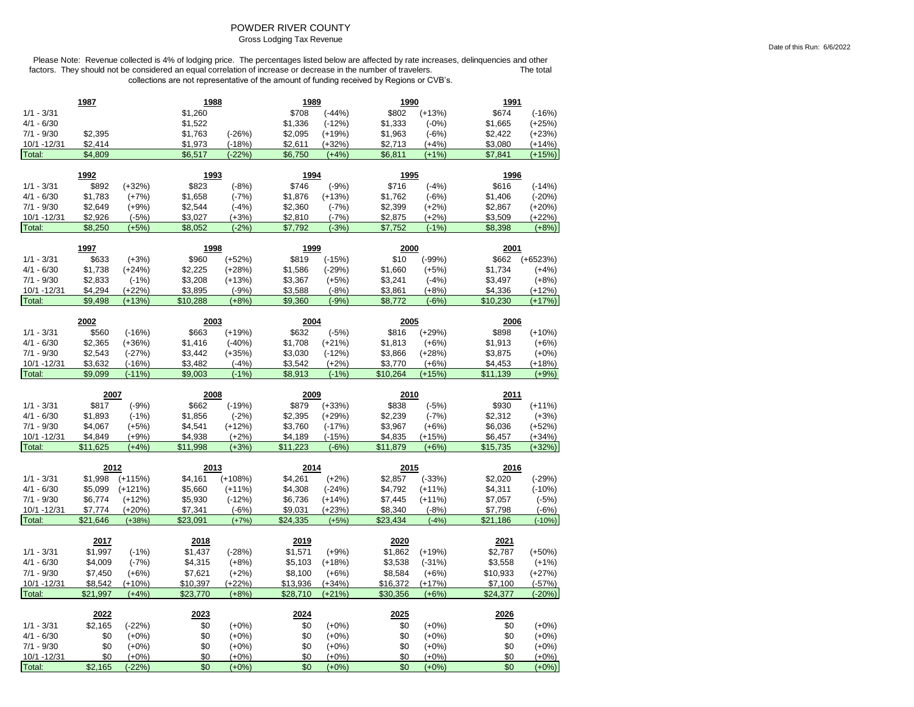# POWDER RIVER COUNTY

Gross Lodging Tax Revenue

|                              | 1987                |                    | 1988                |                    | 1989                |                     | 1990                |                     | <u> 1991</u>        |                      |
|------------------------------|---------------------|--------------------|---------------------|--------------------|---------------------|---------------------|---------------------|---------------------|---------------------|----------------------|
| $1/1 - 3/31$                 |                     |                    | \$1,260             |                    | \$708               | $(-44%)$            | \$802               | $(+13%)$            | \$674               | $(-16%)$             |
| $4/1 - 6/30$                 |                     |                    | \$1,522             |                    | \$1,336             | $(-12%)$            | \$1,333             | $(-0%)$             | \$1,665             | $(+25%)$             |
| $7/1 - 9/30$                 | \$2,395             |                    | \$1,763             | $(-26%)$           | \$2,095             | $(+19%)$            | \$1,963             | $(-6%)$             | \$2,422             | $(+23%)$             |
| 10/1 - 12/31                 | \$2,414             |                    | \$1,973             | $(-18%)$           | \$2,611             | $(+32%)$            | \$2,713             | $(+4%)$             | \$3,080             | $(+14%)$             |
| Total:                       | \$4,809             |                    | \$6,517             | $(-22%)$           | \$6,750             | $(+4%)$             | \$6,811             | $(+1%)$             | \$7,841             | $(+15%)$             |
|                              |                     |                    |                     |                    |                     |                     |                     |                     |                     |                      |
|                              | 1992                |                    | 1993                |                    | 1994                |                     | 1995                |                     | 1996                |                      |
| $1/1 - 3/31$                 | \$892               | $(+32%)$           | \$823               | $(-8%)$            | \$746               | $(-9%)$             | \$716               | $(-4%)$             | \$616               | $(-14%)$             |
| $4/1 - 6/30$                 | \$1,783             | $(+7%)$            | \$1,658             | $(-7%)$            | \$1,876             | $(+13%)$            | \$1,762             | $(-6%)$             | \$1,406             | $(-20%)$             |
| $7/1 - 9/30$                 | \$2,649             | $(+9%)$            | \$2,544             | $(-4%)$            | \$2,360             | $(-7%)$             | \$2,399             | $(+2%)$             | \$2,867             | $(+20%)$             |
| 10/1 - 12/31                 | \$2,926             | $(-5%)$            | \$3,027             | $(+3%)$            | \$2,810             | $(-7%)$             | \$2,875             | $(+2%)$             | \$3,509             | $(+22%)$             |
| Total:                       | \$8,250             | $(+5%)$            | \$8,052             | $(-2%)$            | \$7,792             | $(-3%)$             | \$7,752             | $(-1%)$             | \$8,398             | $(+8%)$              |
|                              | 1997                |                    | 1998                |                    | 1999                |                     | 2000                |                     | 2001                |                      |
|                              |                     |                    |                     |                    | \$819               |                     |                     |                     |                     |                      |
| $1/1 - 3/31$                 | \$633               | $(+3%)$            | \$960               | $(+52%)$           |                     | $(-15%)$            | \$10                | $(-99%)$            | \$662               | $(+6523%)$           |
| $4/1 - 6/30$                 | \$1,738             | $(+24%)$           | \$2,225             | $(+28%)$           | \$1,586             | $(-29%)$            | \$1,660             | $(+5%)$             | \$1,734             | $(+4%)$              |
| $7/1 - 9/30$                 | \$2,833             | $(-1%)$            | \$3,208             | $(+13%)$           | \$3,367             | $(+5%)$             | \$3,241             | $(-4%)$             | \$3,497             | $(+8%)$              |
| 10/1 - 12/31                 | \$4,294             | $(+22%)$           | \$3,895             | $(-9%)$            | \$3,588             | $(-8%)$             | \$3,861             | $(+8%)$             | \$4,336             | $(+12%)$             |
| Total:                       | \$9,498             | $(+13%)$           | \$10,288            | $(+8%)$            | \$9,360             | $(-9%)$             | \$8,772             | $(-6%)$             | \$10,230            | $(+17%)$             |
|                              | 2002                |                    | 2003                |                    | 2004                |                     | 2005                |                     | 2006                |                      |
| $1/1 - 3/31$                 | \$560               | $(-16%)$           | \$663               | $(+19%)$           | \$632               | $(-5%)$             | \$816               | $(+29%)$            | \$898               | $(+10%)$             |
| $4/1 - 6/30$                 | \$2,365             | $(+36%)$           | \$1,416             | $(-40%)$           | \$1,708             | $(+21%)$            | \$1,813             | $(+6%)$             | \$1,913             | $(+6%)$              |
| $7/1 - 9/30$                 | \$2,543             | $(-27%)$           | \$3,442             | $(+35%)$           | \$3,030             | $(-12%)$            | \$3,866             | $(+28%)$            | \$3,875             | $(+0%)$              |
| 10/1 - 12/31                 | \$3,632             | $(-16%)$           | \$3,482             | $(-4%)$            | \$3,542             | $(+2%)$             | \$3,770             | $(+6%)$             | \$4,453             | $(+18%)$             |
| Total:                       | \$9,099             | $(-11%)$           | \$9,003             | $(-1%)$            | \$8,913             | $(-1%)$             | \$10,264            | $(+15%)$            | \$11,139            | $(+9%)$              |
|                              |                     |                    |                     |                    |                     |                     |                     |                     |                     |                      |
|                              | 2007                |                    | 2008                |                    |                     |                     |                     |                     | 2011                |                      |
|                              |                     |                    |                     |                    | 2009                |                     | 2010                |                     |                     |                      |
| $1/1 - 3/31$                 |                     |                    | \$662               |                    |                     |                     |                     |                     |                     |                      |
|                              | \$817               | $(-9%)$            |                     | $(-19%)$           | \$879               | $(+33%)$            | \$838               | $(-5%)$             | \$930               | $(+11%)$             |
| $4/1 - 6/30$                 | \$1,893             | $(-1%)$            | \$1,856             | $(-2%)$            | \$2,395             | $(+29%)$            | \$2,239             | $(-7%)$             | \$2,312             | $(+3%)$              |
| $7/1 - 9/30$                 | \$4,067             | $(+5%)$            | \$4,541             | $(+12%)$           | \$3,760             | $(-17%)$            | \$3,967             | $(+6%)$             | \$6,036             | $(+52%)$             |
| 10/1 - 12/31                 | \$4,849<br>\$11,625 | $(+9%)$<br>$(+4%)$ | \$4,938<br>\$11,998 | $(+2%)$<br>$(+3%)$ | \$4,189<br>\$11,223 | $(-15%)$<br>$(-6%)$ | \$4,835<br>\$11,879 | $(+15%)$<br>$(+6%)$ | \$6,457<br>\$15,735 | $(+34%)$<br>$(+32%)$ |
| Total:                       |                     |                    |                     |                    |                     |                     |                     |                     |                     |                      |
|                              | 2012                |                    | 2013                |                    | 2014                |                     | 2015                |                     | 2016                |                      |
| $1/1 - 3/31$                 | \$1,998             | $(+115%)$          | \$4,161             | $(+108%)$          | \$4,261             | $(+2%)$             | \$2,857             | $(-33%)$            | \$2,020             | $(-29%)$             |
| $4/1 - 6/30$                 | \$5,099             | $(+121%)$          | \$5,660             | $(+11%)$           | \$4,308             | $(-24%)$            | \$4,792             | $(+11%)$            | \$4,311             | $(-10%)$             |
| $7/1 - 9/30$                 | \$6,774             | $(+12%)$           | \$5,930             | $(-12%)$           | \$6,736             | $(+14%)$            | \$7,445             | $(+11%)$            | \$7,057             | $(-5%)$              |
| 10/1 - 12/31                 | \$7,774             | $(+20%)$           | \$7,341             | $(-6%)$            | \$9,031             | $(+23%)$            | \$8,340             | $(-8%)$             | \$7,798             | $(-6%)$              |
| Total:                       | \$21,646            | $(+38%)$           | \$23,091            | $(+7%)$            | \$24,335            | $(+5%)$             | \$23,434            | $(-4%)$             | \$21,186            | $(-10%)$             |
|                              |                     |                    |                     |                    |                     |                     |                     |                     |                     |                      |
|                              | 2017                |                    | 2018                |                    | 2019                |                     | 2020                |                     | 2021                |                      |
| $1/1 - 3/31$                 | \$1,997             | $(-1%)$            | \$1,437             | $(-28%)$           | \$1,571             | $(+9%)$             | \$1,862             | $(+19%)$            | \$2,787             | $(+50%)$             |
| $4/1 - 6/30$                 | \$4,009             | $(-7%)$            | \$4,315             | $(+8%)$            | \$5,103             | $(+18%)$            | \$3,538             | $(-31%)$            | \$3,558             | $(+1%)$              |
| $7/1 - 9/30$                 | \$7,450             | $(+6%)$            | \$7,621             | $(+2%)$            | \$8,100             | $(+6%)$             | \$8,584             | $(+6%)$             | \$10,933            | $(+27%)$             |
| 10/1 - 12/31                 | \$8,542             | $(+10%)$           | \$10,397            | $(+22%)$           | \$13,936            | (+34%)              | \$16,372            | $(+17%)$            | \$7,100             | $(-57%)$             |
| Total:                       | \$21,997            | $(+4%)$            | \$23,770            | $(+8%)$            | \$28,710            | $(+21%)$            | \$30,356            | $(+6%)$             | \$24,377            | $(-20%)$             |
|                              | 2022                |                    | 2023                |                    | 2024                |                     | 2025                |                     | 2026                |                      |
| $1/1 - 3/31$                 | \$2,165             | $(-22%)$           | \$0                 | $(+0%)$            | \$0                 | $(+0%)$             | \$0                 | $(+0%)$             | \$0                 | $(+0%)$              |
| $4/1 - 6/30$                 | \$0                 | $(+0%)$            | \$0                 | $(+0%)$            | \$0                 | $(+0%)$             | \$0                 | $(+0%)$             | \$0                 | $(+0%)$              |
|                              | \$0                 |                    |                     |                    |                     |                     |                     |                     |                     |                      |
| $7/1 - 9/30$<br>10/1 - 12/31 | \$0                 | $(+0%)$<br>$(+0%)$ | \$0<br>\$0          | $(+0%)$<br>$(+0%)$ | \$0<br>\$0          | $(+0%)$<br>$(+0%)$  | \$0<br>\$0          | $(+0%)$<br>$(+0%)$  | \$0<br>\$0          | $(+0%)$<br>$(+0%)$   |
| Total:                       | \$2,165             | (-22%)             | \$0                 | $(+0%)$            | \$0                 | $(+0%)$             | \$0                 | $(+0%)$             | \$0                 | $(+0%)$              |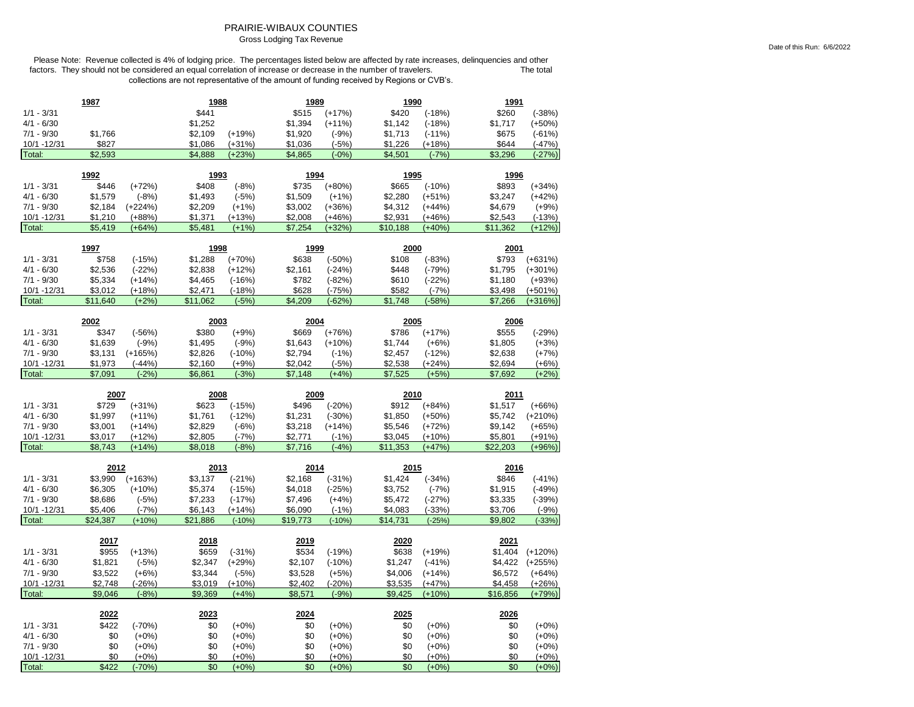# PRAIRIE-WIBAUX COUNTIES

Gross Lodging Tax Revenue

Please Note: Revenue collected is 4% of lodging price. The percentages listed below are affected by rate increases, delinquencies and other factors. They should not be considered an equal correlation of increase or decrease in the number of travelers. The total The total collections are not representative of the amount of funding received by Regions or CVB's.

|                             | 1987                |                      | 1988                |                      | 1989                |                     | 1990                |                      | 1991                |                      |
|-----------------------------|---------------------|----------------------|---------------------|----------------------|---------------------|---------------------|---------------------|----------------------|---------------------|----------------------|
| $1/1 - 3/31$                |                     |                      | \$441               |                      | \$515               | $(+17%)$            | \$420               | $(-18%)$             | \$260               | $(-38%)$             |
| $4/1 - 6/30$                |                     |                      | \$1,252             |                      | \$1,394             | $(+11%)$            | \$1,142             | $(-18%)$             | \$1,717             | $(+50%)$             |
| $7/1 - 9/30$                | \$1,766             |                      | \$2,109             | $(+19%)$             | \$1,920             | $(-9%)$             | \$1,713             | $(-11%)$             | \$675               | $(-61%)$             |
| 10/1 -12/31                 | \$827               |                      | \$1,086             | $(+31%)$             | \$1,036             | $(-5%)$             | \$1,226             | $(+18%)$             | \$644               | $(-47%)$             |
| Total:                      | \$2,593             |                      | \$4,888             | $(+23%)$             | \$4,865             | $(-0%)$             | \$4,501             | $(-7%)$              | \$3,296             | $(-27%)$             |
|                             |                     |                      |                     |                      |                     |                     |                     |                      |                     |                      |
|                             | 1992                |                      | 1993                |                      | 1994                |                     | 1995                |                      | 1996                |                      |
| $1/1 - 3/31$                | \$446               | $(+72%)$             | \$408               | $(-8%)$              | \$735               | $(+80%)$            | \$665               | $(-10%)$             | \$893               | $(+34%)$             |
| $4/1 - 6/30$                | \$1,579             | $(-8%)$              | \$1,493             | $(-5%)$              | \$1,509             | $(+1%)$             | \$2,280             | $(+51%)$             | \$3,247             | $(+42%)$             |
| $7/1 - 9/30$                | \$2,184             | $(+224%)$            | \$2,209             | $(+1%)$              | \$3,002             | $(+36%)$            | \$4,312             | $(+44%)$             | \$4,679             | $(+9%)$              |
| 10/1 -12/31<br>Total:       | \$1,210<br>\$5,419  | $(+88%)$<br>$(+64%)$ | \$1,371<br>\$5,481  | $(+13%)$<br>$(+1%)$  | \$2,008<br>\$7,254  | (+46%)<br>$(+32%)$  | \$2,931<br>\$10,188 | $(+46%)$<br>$(+40%)$ | \$2,543<br>\$11,362 | $(-13%)$<br>$(+12%)$ |
|                             |                     |                      |                     |                      |                     |                     |                     |                      |                     |                      |
|                             | 1997                |                      | 1998                |                      | 1999                |                     | 2000                |                      | 2001                |                      |
| $1/1 - 3/31$                | \$758               | $(-15%)$             | \$1,288             | $(+70%)$             | \$638               | $(-50%)$            | \$108               | $(-83%)$             | \$793               | $(+631%)$            |
| $4/1 - 6/30$                | \$2,536             | $(-22%)$             | \$2,838             | $(+12%)$             | \$2,161             | $(-24%)$            | \$448               | $(-79%)$             | \$1,795             | $(+301%)$            |
| $7/1 - 9/30$                | \$5,334             | $(+14%)$             | \$4,465             | $(-16%)$             | \$782               | $(-82%)$            | \$610               | $(-22%)$             | \$1,180             | $(+93%)$             |
| 10/1 - 12/31                | \$3,012             | $(+18%)$             | \$2,471             | $(-18%)$             | \$628               | $(-75%)$            | \$582               | $(-7%)$              | \$3,498             | $(+501%)$            |
| Total:                      | \$11,640            | $(+2%)$              | \$11,062            | $(-5%)$              | \$4,209             | $(-62%)$            | \$1,748             | $(-58%)$             | \$7,266             | $(+316%)$            |
|                             |                     |                      |                     |                      |                     |                     |                     |                      |                     |                      |
| $1/1 - 3/31$                | 2002                |                      | 2003                |                      | 2004                |                     | 2005<br>\$786       |                      | 2006                |                      |
|                             | \$347<br>\$1,639    | $(-56%)$             | \$380<br>\$1,495    | $(+9%)$              | \$669               | $(+76%)$            | \$1,744             | $(+17%)$             | \$555<br>\$1,805    | $(-29%)$             |
| $4/1 - 6/30$                |                     | $(-9%)$              |                     | $(-9%)$              | \$1,643             | $(+10%)$            |                     | $(+6%)$              |                     | $(+3%)$              |
| $7/1 - 9/30$                | \$3,131             | $(+165%)$            | \$2,826             | $(-10%)$             | \$2,794             | $(-1%)$             | \$2,457             | $(-12%)$             | \$2,638             | $(+7%)$              |
| 10/1 - 12/31<br>Total:      | \$1,973<br>\$7.091  | $(-44%)$<br>$(-2%)$  | \$2,160<br>\$6,861  | $(+9%)$<br>$(-3%)$   | \$2,042<br>\$7,148  | $(-5%)$<br>$(+4%)$  | \$2,538<br>\$7.525  | $(+24%)$<br>$(+5%)$  | \$2,694<br>\$7,692  | $(+6%)$<br>$(+2%)$   |
|                             |                     |                      |                     |                      |                     |                     |                     |                      |                     |                      |
|                             |                     |                      |                     |                      |                     |                     |                     |                      |                     |                      |
|                             | 2007                |                      | 2008                |                      | 2009                |                     | 2010                |                      | 2011                |                      |
| $1/1 - 3/31$                | \$729               | $(+31%)$             | \$623               | $(-15%)$             | \$496               | $(-20%)$            | \$912               | $(+84%)$             | \$1,517             | $(+66%)$             |
| $4/1 - 6/30$                | \$1,997             | $(+11%)$             | \$1,761             | $(-12%)$             | \$1,231             | $(-30%)$            | \$1,850             | $(+50%)$             | \$5,742             | $(+210%)$            |
| $7/1 - 9/30$                | \$3,001             | $(+14%)$             | \$2,829             | $(-6%)$              | \$3,218             | $(+14%)$            | \$5,546             | $(+72%)$             | \$9,142             | $(+65%)$             |
| 10/1 - 12/31                | \$3,017             | $(+12%)$             | \$2,805             | $(-7%)$              | \$2,771             | $(-1%)$             | \$3,045             | $(+10%)$             | \$5,801             | $(+91%)$             |
| Total:                      | \$8,743             | $(+14%)$             | \$8,018             | $(-8%)$              | \$7,716             | $(-4%)$             | \$11,353            | $(+47%)$             | \$22,203            | $(+96%)$             |
|                             |                     |                      |                     |                      |                     |                     |                     |                      |                     |                      |
|                             | 2012                |                      | 2013                |                      | 2014                |                     | 2015                |                      | 2016                |                      |
| $1/1 - 3/31$                | \$3,990             | $(+163%)$            | \$3,137             | $(-21%)$             | \$2,168             | $(-31%)$            | \$1,424             | $(-34%)$             | \$846               | $(-41%)$             |
| $4/1 - 6/30$                | \$6,305             | $(+10%)$             | \$5,374             | (-15%)               | \$4,018             | $(-25%)$            | \$3,752             | $(-7%)$              | \$1,915             | $(-49%)$             |
| $7/1 - 9/30$                | \$8,686             | $(-5%)$              | \$7,233             | $(-17%)$             | \$7,496             | $(+4%)$             | \$5,472             | $(-27%)$             | \$3,335             | $(-39%)$             |
| 10/1 - 12/31<br>Total:      | \$5,406<br>\$24,387 | $(-7%)$<br>$(+10%)$  | \$6,143<br>\$21,886 | $(+14%)$<br>$(-10%)$ | \$6,090<br>\$19,773 | $(-1%)$<br>$(-10%)$ | \$4,083<br>\$14,731 | $(-33%)$<br>$(-25%)$ | \$3,706<br>\$9.802  | $(-9%)$<br>$(-33%)$  |
|                             |                     |                      |                     |                      |                     |                     |                     |                      |                     |                      |
|                             | 2017                |                      | 2018                |                      | 2019                |                     | 2020                |                      | 2021                |                      |
| $1/1 - 3/31$                | \$955               | $(+13%)$             | \$659               | $(-31%)$             | \$534               | $(-19%)$            | \$638               | $(+19%)$             | \$1,404             | $(+120%)$            |
| $4/1 - 6/30$                | \$1,821             | $(-5%)$              | \$2,347             | $(+29%)$             | \$2,107             | $(-10%)$            | \$1,247             | $(-41%)$             | \$4,422             | $(+255%)$            |
| $7/1 - 9/30$                | \$3,522             | $(+6%)$              | \$3,344             | $(-5%)$              | \$3,528             | $(+5%)$             | \$4,006             | $(+14%)$             | \$6,572             | $(+64%)$             |
| 10/1 - 12/31                | \$2,748             | $(-26%)$             | \$3,019             | $(+10%)$             | \$2,402             | $(-20%)$            | \$3,535             | $(+47%)$             | \$4,458             | $(+26%)$             |
| Total:                      | \$9,046             | $(-8%)$              | \$9,369             | $(+4%)$              | \$8,571             | $(-9%)$             | \$9,425             | $(+10%)$             | \$16,856            | $(+79%)$             |
|                             |                     |                      |                     |                      |                     |                     |                     |                      |                     |                      |
|                             | 2022                |                      | 2023                |                      | 2024                |                     | <u> 2025</u>        |                      | 2026                |                      |
| $1/1 - 3/31$                | \$422               | $(-70%)$             | \$0                 | $(+0%)$              | \$0                 | $(+0%)$             | \$0                 | $(+0%)$              | \$0                 | $(+0%)$              |
| $4/1 - 6/30$                | \$0                 | $(+0%)$              | \$0                 | $(+0%)$              | \$0                 | $(+0%)$             | \$0                 | $(+0%)$              | \$0                 | $(+0%)$              |
| $7/1 - 9/30$<br>10/1 -12/31 | \$0<br>\$0          | $(+0%)$<br>$(+0%)$   | \$0<br>\$0          | $(+0%)$<br>$(+0%)$   | \$0<br>\$0          | $(+0%)$<br>$(+0%)$  | \$0<br>\$0          | $(+0%)$<br>$(+0%)$   | \$0<br>\$0          | $(+0%)$<br>$(+0%)$   |

Date of this Run: 6/6/2022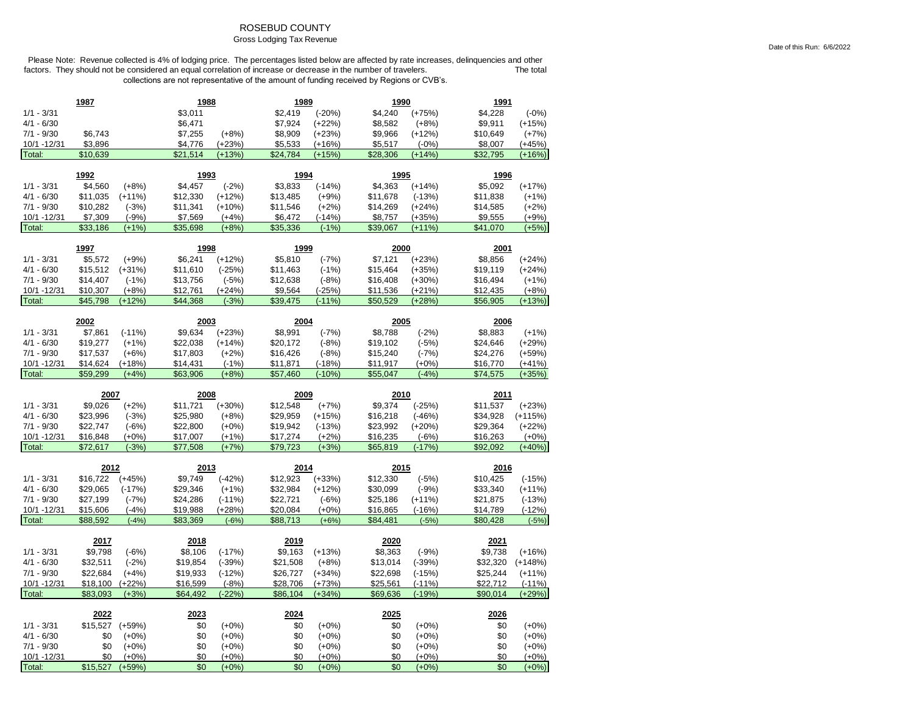## ROSEBUD COUNTY

#### Gross Lodging Tax Revenue

|                             | 1987                 |                      | 1988                |                      | 1989                 |                      | 1990                 |                      | 1991                 |                      |
|-----------------------------|----------------------|----------------------|---------------------|----------------------|----------------------|----------------------|----------------------|----------------------|----------------------|----------------------|
| $1/1 - 3/31$                |                      |                      | \$3,011             |                      | \$2,419              | $(-20%)$             | \$4,240              | $(+75%)$             | \$4,228              | $(-0%)$              |
| $4/1 - 6/30$                |                      |                      | \$6,471             |                      | \$7,924              | $(+22%)$             | \$8,582              | $(+8%)$              | \$9,911              | $(+15%)$             |
| $7/1 - 9/30$                | \$6,743              |                      | \$7,255             | $(+8%)$              | \$8,909              | $(+23%)$             | \$9,966              | $(+12%)$             | \$10,649             | $(+7%)$              |
| 10/1 - 12/31                | \$3,896              |                      | \$4,776             | $(+23%)$             | \$5,533              | $(+16%)$             | \$5,517              | $(-0%)$              | \$8,007              | $(+45%)$             |
| Total:                      | \$10,639             |                      | \$21,514            | $(+13%)$             | \$24,784             | $(+15%)$             | \$28,306             | $(+14%)$             | \$32,795             | $(+16%)$             |
|                             |                      |                      |                     |                      |                      |                      |                      |                      |                      |                      |
|                             | 1992                 |                      | 1993                |                      | 1994                 |                      | 1995                 |                      | 1996                 |                      |
| $1/1 - 3/31$                | \$4,560              | $(+8%)$              | \$4,457             | $(-2%)$              | \$3,833              | $(-14%)$             | \$4.363              | $(+14%)$             | \$5,092              | $(+17%)$             |
| $4/1 - 6/30$                | \$11,035             | $(+11%)$             | \$12,330            | $(+12%)$             | \$13,485             | $(+9%)$              | \$11,678             | $(-13%)$             | \$11,838             | $(+1%)$              |
| $7/1 - 9/30$<br>10/1 -12/31 | \$10,282<br>\$7,309  | $(-3%)$<br>$(-9%)$   | \$11,341<br>\$7,569 | $(+10%)$<br>$(+4%)$  | \$11,546<br>\$6,472  | $(+2%)$<br>$(-14%)$  | \$14,269<br>\$8,757  | $(+24%)$<br>$(+35%)$ | \$14,585             | $(+2%)$              |
| Total:                      | \$33,186             | $(+1%)$              | \$35,698            | $(+8%)$              | \$35,336             | $(-1%)$              | \$39,067             | $(+11%)$             | \$9,555<br>\$41,070  | $(+9%)$<br>$(+5%)$   |
|                             |                      |                      |                     |                      |                      |                      |                      |                      |                      |                      |
|                             | 1997                 |                      | 1998                |                      | 1999                 |                      | 2000                 |                      | 2001                 |                      |
| $1/1 - 3/31$                | \$5,572              | $(+9%)$              | \$6,241             | $(+12%)$             | \$5,810              | $(-7%)$              | \$7,121              | $(+23%)$             | \$8,856              | $(+24%)$             |
| $4/1 - 6/30$                | \$15,512             | $(+31%)$             | \$11,610            | $(-25%)$             | \$11,463             | $(-1%)$              | \$15,464             | $(+35%)$             | \$19,119             | $(+24%)$             |
| $7/1 - 9/30$                | \$14,407             | $(-1%)$              | \$13,756            | $(-5%)$              | \$12,638             | $(-8%)$              | \$16,408             | $(+30%)$             | \$16,494             | $(+1%)$              |
| 10/1 - 12/31                | \$10,307             | $(+8%)$              | \$12,761            | $(+24%)$             | \$9,564              | $(-25%)$             | \$11,536             | $(+21%)$             | \$12,435             | $(+8%)$              |
| Total:                      | \$45,798             | $(+12%)$             | \$44,368            | $(-3%)$              | \$39,475             | $(-11%)$             | \$50,529             | $(+28%)$             | \$56,905             | $(+13%)$             |
|                             | 2002                 |                      | 2003                |                      | 2004                 |                      | 2005                 |                      | 2006                 |                      |
| $1/1 - 3/31$                | \$7,861              | $(-11%)$             | \$9,634             | $(+23%)$             | \$8,991              | $(-7%)$              | \$8,788              | $(-2%)$              | \$8,883              | $(+1%)$              |
| $4/1 - 6/30$                | \$19,277             | $(+1%)$              | \$22,038            | $(+14%)$             | \$20,172             | $(-8%)$              | \$19,102             | $(-5%)$              | \$24,646             | $(+29%)$             |
| $7/1 - 9/30$                | \$17,537             | $(+6%)$              | \$17,803            | $(+2%)$              | \$16,426             | $(-8%)$              | \$15,240             | $(-7%)$              | \$24,276             | $(+59%)$             |
| 10/1 - 12/31                | \$14,624             | $(+18%)$             | \$14,431            | $(-1%)$              | \$11,871             | $(-18%)$             | \$11,917             | $(+0%)$              | \$16,770             | $(+41%)$             |
| Total:                      | \$59.299             | $(+4%)$              | \$63,906            | $(+8%)$              | \$57,460             | $(-10%)$             | \$55,047             | $(-4%)$              | \$74,575             | $(+35%)$             |
|                             |                      |                      |                     |                      |                      |                      |                      |                      |                      |                      |
|                             |                      |                      |                     |                      |                      |                      |                      |                      |                      |                      |
|                             | 2007                 |                      | 2008                |                      | 2009                 |                      | 2010                 |                      | 2011                 |                      |
| $1/1 - 3/31$                | \$9,026              | $(+2%)$              | \$11,721            | $(+30%)$             | \$12,548             | $(+7%)$              | \$9,374              | $(-25%)$             | \$11,537             | $(+23%)$             |
| $4/1 - 6/30$                | \$23,996             | $(-3%)$              | \$25,980            | $(+8%)$              | \$29,959             | $(+15%)$             | \$16,218             | $(-46%)$             | \$34,928             | $(+115%)$            |
| $7/1 - 9/30$                | \$22,747             | $(-6%)$              | \$22,800            | $(+0%)$              | \$19,942             | $(-13%)$             | \$23,992             | $(+20%)$             | \$29,364             | $(+22%)$             |
| 10/1 -12/31                 | \$16,848             | $(+0%)$              | \$17,007            | $(+1%)$              | \$17,274             | $(+2%)$              | \$16,235             | $(-6%)$              | \$16,263             | $(+0%)$              |
| Total:                      | \$72,617             | $(-3%)$              | \$77,508            | $(+7%)$              | \$79,723             | $(+3%)$              | \$65,819             | $(-17%)$             | \$92,092             | $(+40%)$             |
|                             |                      |                      |                     |                      |                      |                      |                      |                      |                      |                      |
| $1/1 - 3/31$                | 2012                 |                      | 2013<br>\$9,749     |                      | 2014                 |                      | 2015                 |                      | 2016                 |                      |
| $4/1 - 6/30$                | \$16,722<br>\$29,065 | $(+45%)$<br>$(-17%)$ | \$29,346            | $(-42%)$             | \$12,923<br>\$32,984 | $(+33%)$<br>$(+12%)$ | \$12,330<br>\$30,099 | $(-5%)$              | \$10,425<br>\$33,340 | $(-15%)$             |
| $7/1 - 9/30$                | \$27,199             |                      | \$24,286            | $(+1%)$              | \$22,721             |                      | \$25,186             | $(-9%)$<br>$(+11%)$  | \$21,875             | $(+11%)$             |
| 10/1 - 12/31                | \$15,606             | $(-7%)$<br>$(-4%)$   | \$19,988            | $(-11%)$<br>$(+28%)$ | \$20,084             | $(-6%)$<br>$(+0%)$   |                      | $(-16%)$             | \$14,789             | $(-13%)$<br>$(-12%)$ |
| Total:                      | \$88.592             | $(-4%)$              | \$83.369            | $(-6%)$              | \$88.713             | $(+6%)$              | \$16,865<br>\$84.481 | $(-5%)$              | \$80,428             | $(-5%)$              |
|                             |                      |                      |                     |                      |                      |                      |                      |                      |                      |                      |
|                             | 2017                 |                      | 2018                |                      | 2019                 |                      | 2020                 |                      | 2021                 |                      |
| $1/1 - 3/31$                | \$9,798              | $(-6%)$              | \$8,106             | $(-17%)$             | \$9,163              | $(+13%)$             | \$8,363              | $(-9%)$              | \$9,738              | $(+16%)$             |
| $4/1 - 6/30$                | \$32,511             | $(-2%)$              | \$19,854            | $(-39%)$             | \$21,508             | $(+8%)$              | \$13,014             | $(-39%)$             | \$32,320             | $(+148%)$            |
| $7/1 - 9/30$                | \$22,684             | $(+4%)$              | \$19,933            | $(-12%)$             | \$26,727             | $(+34%)$             | \$22,698             | $(-15%)$             | \$25,244             | $(+11%)$             |
| 10/1 - 12/31                | \$18,100             | $(+22%)$             | \$16,599            | $(-8%)$              | \$28,706             | $(+73%)$             | \$25,561             | $(-11%)$             | \$22,712             | $(-11%)$             |
| Total:                      | \$83,093             | $(+3%)$              | \$64,492            | $(-22%)$             | \$86,104             | $(+34%)$             | \$69,636             | $(-19%)$             | \$90,014             | $(+29%)$             |
|                             | 2022                 |                      | 2023                |                      | 2024                 |                      | 2025                 |                      | 2026                 |                      |
| $1/1 - 3/31$                | \$15,527             | $(+59%)$             | \$0                 | $(+0%)$              | \$0                  | $(+0%)$              | \$0                  | $(+0%)$              | \$0                  | $(+0%)$              |
| $4/1 - 6/30$                | \$0                  | $(+0%)$              | \$0                 | $(+0%)$              | \$0                  | $(+0%)$              | \$0                  | $(+0%)$              | \$0                  | $(+0%)$              |
| $7/1 - 9/30$                | \$0                  | $(+0%)$              | \$0                 | $(+0%)$              | \$0                  | $(+0%)$              | \$0                  | $(+0%)$              | \$0                  | $(+0%)$              |
| 10/1 - 12/31<br>Total:      | \$0<br>\$15,527      | $(+0%)$<br>$(+59%)$  | \$0<br>\$0          | $(+0%)$<br>$(+0%)$   | \$0<br>\$0           | $(+0%)$<br>$(+0%)$   | \$0<br>\$0           | $(+0%)$<br>$(+0%)$   | \$0<br>\$0           | $(+0%)$<br>$(+0%)$   |